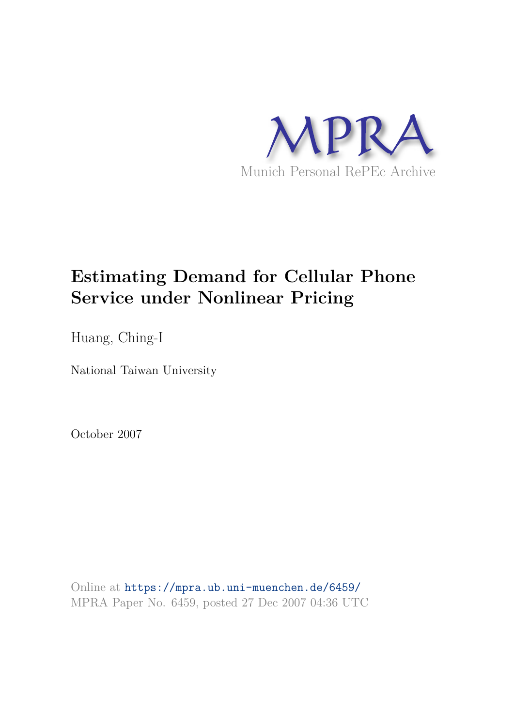

# **Estimating Demand for Cellular Phone Service under Nonlinear Pricing**

Huang, Ching-I

National Taiwan University

October 2007

Online at https://mpra.ub.uni-muenchen.de/6459/ MPRA Paper No. 6459, posted 27 Dec 2007 04:36 UTC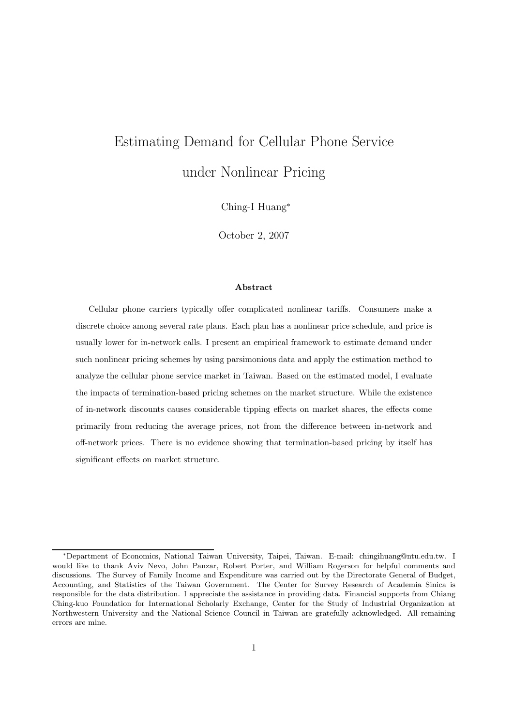# Estimating Demand for Cellular Phone Service under Nonlinear Pricing

Ching-I Huang<sup>∗</sup>

October 2, 2007

#### Abstract

Cellular phone carriers typically offer complicated nonlinear tariffs. Consumers make a discrete choice among several rate plans. Each plan has a nonlinear price schedule, and price is usually lower for in-network calls. I present an empirical framework to estimate demand under such nonlinear pricing schemes by using parsimonious data and apply the estimation method to analyze the cellular phone service market in Taiwan. Based on the estimated model, I evaluate the impacts of termination-based pricing schemes on the market structure. While the existence of in-network discounts causes considerable tipping effects on market shares, the effects come primarily from reducing the average prices, not from the difference between in-network and off-network prices. There is no evidence showing that termination-based pricing by itself has significant effects on market structure.

<sup>∗</sup>Department of Economics, National Taiwan University, Taipei, Taiwan. E-mail: chingihuang@ntu.edu.tw. I would like to thank Aviv Nevo, John Panzar, Robert Porter, and William Rogerson for helpful comments and discussions. The Survey of Family Income and Expenditure was carried out by the Directorate General of Budget, Accounting, and Statistics of the Taiwan Government. The Center for Survey Research of Academia Sinica is responsible for the data distribution. I appreciate the assistance in providing data. Financial supports from Chiang Ching-kuo Foundation for International Scholarly Exchange, Center for the Study of Industrial Organization at Northwestern University and the National Science Council in Taiwan are gratefully acknowledged. All remaining errors are mine.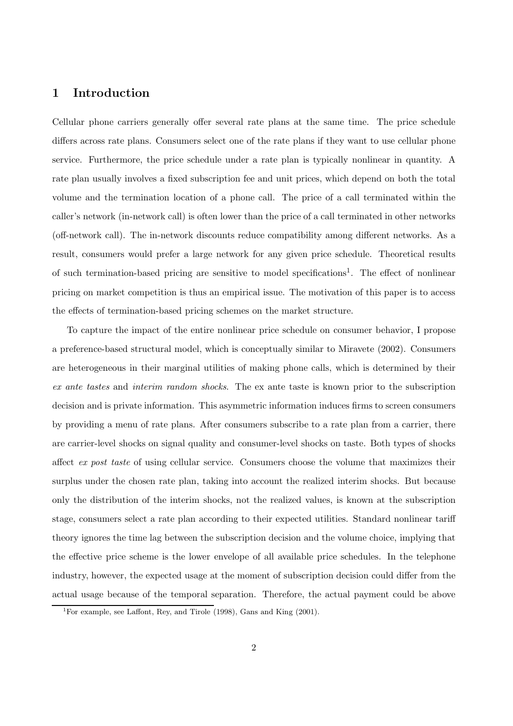# 1 Introduction

Cellular phone carriers generally offer several rate plans at the same time. The price schedule differs across rate plans. Consumers select one of the rate plans if they want to use cellular phone service. Furthermore, the price schedule under a rate plan is typically nonlinear in quantity. A rate plan usually involves a fixed subscription fee and unit prices, which depend on both the total volume and the termination location of a phone call. The price of a call terminated within the caller's network (in-network call) is often lower than the price of a call terminated in other networks (off-network call). The in-network discounts reduce compatibility among different networks. As a result, consumers would prefer a large network for any given price schedule. Theoretical results of such termination-based pricing are sensitive to model specifications<sup>1</sup>. The effect of nonlinear pricing on market competition is thus an empirical issue. The motivation of this paper is to access the effects of termination-based pricing schemes on the market structure.

To capture the impact of the entire nonlinear price schedule on consumer behavior, I propose a preference-based structural model, which is conceptually similar to Miravete (2002). Consumers are heterogeneous in their marginal utilities of making phone calls, which is determined by their ex ante tastes and interim random shocks. The ex ante taste is known prior to the subscription decision and is private information. This asymmetric information induces firms to screen consumers by providing a menu of rate plans. After consumers subscribe to a rate plan from a carrier, there are carrier-level shocks on signal quality and consumer-level shocks on taste. Both types of shocks affect ex post taste of using cellular service. Consumers choose the volume that maximizes their surplus under the chosen rate plan, taking into account the realized interim shocks. But because only the distribution of the interim shocks, not the realized values, is known at the subscription stage, consumers select a rate plan according to their expected utilities. Standard nonlinear tariff theory ignores the time lag between the subscription decision and the volume choice, implying that the effective price scheme is the lower envelope of all available price schedules. In the telephone industry, however, the expected usage at the moment of subscription decision could differ from the actual usage because of the temporal separation. Therefore, the actual payment could be above

<sup>&</sup>lt;sup>1</sup>For example, see Laffont, Rey, and Tirole  $(1998)$ , Gans and King  $(2001)$ .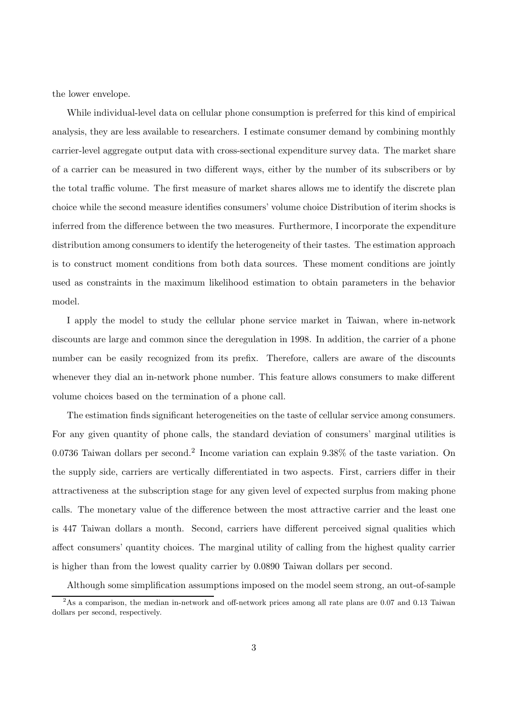the lower envelope.

While individual-level data on cellular phone consumption is preferred for this kind of empirical analysis, they are less available to researchers. I estimate consumer demand by combining monthly carrier-level aggregate output data with cross-sectional expenditure survey data. The market share of a carrier can be measured in two different ways, either by the number of its subscribers or by the total traffic volume. The first measure of market shares allows me to identify the discrete plan choice while the second measure identifies consumers' volume choice Distribution of iterim shocks is inferred from the difference between the two measures. Furthermore, I incorporate the expenditure distribution among consumers to identify the heterogeneity of their tastes. The estimation approach is to construct moment conditions from both data sources. These moment conditions are jointly used as constraints in the maximum likelihood estimation to obtain parameters in the behavior model.

I apply the model to study the cellular phone service market in Taiwan, where in-network discounts are large and common since the deregulation in 1998. In addition, the carrier of a phone number can be easily recognized from its prefix. Therefore, callers are aware of the discounts whenever they dial an in-network phone number. This feature allows consumers to make different volume choices based on the termination of a phone call.

The estimation finds significant heterogeneities on the taste of cellular service among consumers. For any given quantity of phone calls, the standard deviation of consumers' marginal utilities is 0.0736 Taiwan dollars per second.<sup>2</sup> Income variation can explain 9.38% of the taste variation. On the supply side, carriers are vertically differentiated in two aspects. First, carriers differ in their attractiveness at the subscription stage for any given level of expected surplus from making phone calls. The monetary value of the difference between the most attractive carrier and the least one is 447 Taiwan dollars a month. Second, carriers have different perceived signal qualities which affect consumers' quantity choices. The marginal utility of calling from the highest quality carrier is higher than from the lowest quality carrier by 0.0890 Taiwan dollars per second.

Although some simplification assumptions imposed on the model seem strong, an out-of-sample

 $2\text{As a comparison, the median in-network and off-network prices among all rate plans are } 0.07 \text{ and } 0.13 \text{ Taiwan}$ dollars per second, respectively.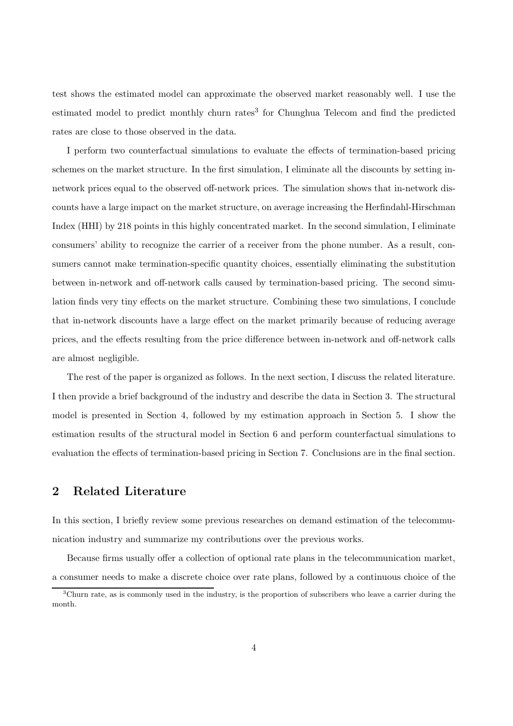test shows the estimated model can approximate the observed market reasonably well. I use the estimated model to predict monthly churn rates<sup>3</sup> for Chunghua Telecom and find the predicted rates are close to those observed in the data.

I perform two counterfactual simulations to evaluate the effects of termination-based pricing schemes on the market structure. In the first simulation, I eliminate all the discounts by setting innetwork prices equal to the observed off-network prices. The simulation shows that in-network discounts have a large impact on the market structure, on average increasing the Herfindahl-Hirschman Index (HHI) by 218 points in this highly concentrated market. In the second simulation, I eliminate consumers' ability to recognize the carrier of a receiver from the phone number. As a result, consumers cannot make termination-specific quantity choices, essentially eliminating the substitution between in-network and off-network calls caused by termination-based pricing. The second simulation finds very tiny effects on the market structure. Combining these two simulations, I conclude that in-network discounts have a large effect on the market primarily because of reducing average prices, and the effects resulting from the price difference between in-network and off-network calls are almost negligible.

The rest of the paper is organized as follows. In the next section, I discuss the related literature. I then provide a brief background of the industry and describe the data in Section 3. The structural model is presented in Section 4, followed by my estimation approach in Section 5. I show the estimation results of the structural model in Section 6 and perform counterfactual simulations to evaluation the effects of termination-based pricing in Section 7. Conclusions are in the final section.

# 2 Related Literature

In this section, I briefly review some previous researches on demand estimation of the telecommunication industry and summarize my contributions over the previous works.

Because firms usually offer a collection of optional rate plans in the telecommunication market, a consumer needs to make a discrete choice over rate plans, followed by a continuous choice of the

<sup>3</sup>Churn rate, as is commonly used in the industry, is the proportion of subscribers who leave a carrier during the month.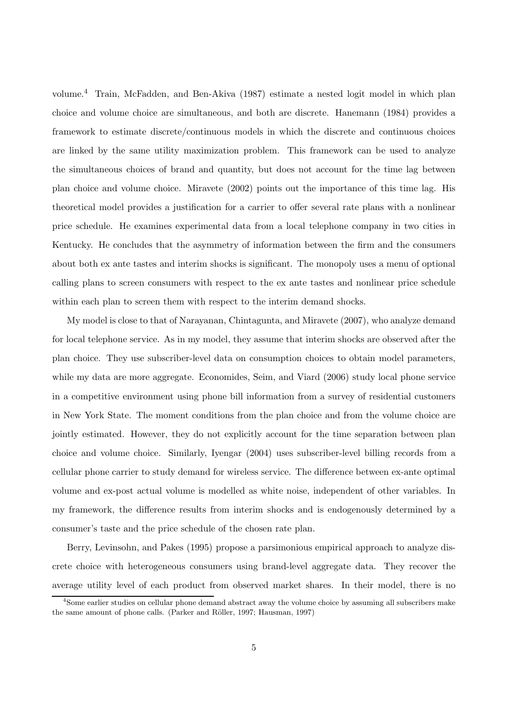volume.<sup>4</sup> Train, McFadden, and Ben-Akiva (1987) estimate a nested logit model in which plan choice and volume choice are simultaneous, and both are discrete. Hanemann (1984) provides a framework to estimate discrete/continuous models in which the discrete and continuous choices are linked by the same utility maximization problem. This framework can be used to analyze the simultaneous choices of brand and quantity, but does not account for the time lag between plan choice and volume choice. Miravete (2002) points out the importance of this time lag. His theoretical model provides a justification for a carrier to offer several rate plans with a nonlinear price schedule. He examines experimental data from a local telephone company in two cities in Kentucky. He concludes that the asymmetry of information between the firm and the consumers about both ex ante tastes and interim shocks is significant. The monopoly uses a menu of optional calling plans to screen consumers with respect to the ex ante tastes and nonlinear price schedule within each plan to screen them with respect to the interim demand shocks.

My model is close to that of Narayanan, Chintagunta, and Miravete (2007), who analyze demand for local telephone service. As in my model, they assume that interim shocks are observed after the plan choice. They use subscriber-level data on consumption choices to obtain model parameters, while my data are more aggregate. Economides, Seim, and Viard (2006) study local phone service in a competitive environment using phone bill information from a survey of residential customers in New York State. The moment conditions from the plan choice and from the volume choice are jointly estimated. However, they do not explicitly account for the time separation between plan choice and volume choice. Similarly, Iyengar (2004) uses subscriber-level billing records from a cellular phone carrier to study demand for wireless service. The difference between ex-ante optimal volume and ex-post actual volume is modelled as white noise, independent of other variables. In my framework, the difference results from interim shocks and is endogenously determined by a consumer's taste and the price schedule of the chosen rate plan.

Berry, Levinsohn, and Pakes (1995) propose a parsimonious empirical approach to analyze discrete choice with heterogeneous consumers using brand-level aggregate data. They recover the average utility level of each product from observed market shares. In their model, there is no

<sup>4</sup>Some earlier studies on cellular phone demand abstract away the volume choice by assuming all subscribers make the same amount of phone calls. (Parker and Röller, 1997; Hausman, 1997)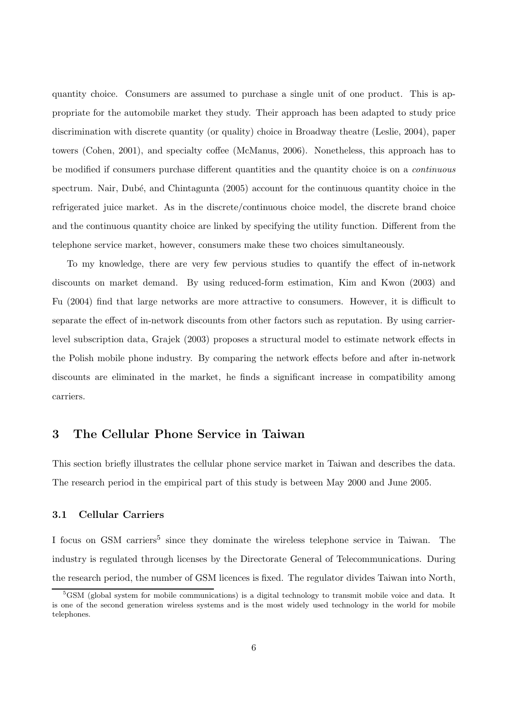quantity choice. Consumers are assumed to purchase a single unit of one product. This is appropriate for the automobile market they study. Their approach has been adapted to study price discrimination with discrete quantity (or quality) choice in Broadway theatre (Leslie, 2004), paper towers (Cohen, 2001), and specialty coffee (McManus, 2006). Nonetheless, this approach has to be modified if consumers purchase different quantities and the quantity choice is on a continuous spectrum. Nair, Dubé, and Chintagunta (2005) account for the continuous quantity choice in the refrigerated juice market. As in the discrete/continuous choice model, the discrete brand choice and the continuous quantity choice are linked by specifying the utility function. Different from the telephone service market, however, consumers make these two choices simultaneously.

To my knowledge, there are very few pervious studies to quantify the effect of in-network discounts on market demand. By using reduced-form estimation, Kim and Kwon (2003) and Fu (2004) find that large networks are more attractive to consumers. However, it is difficult to separate the effect of in-network discounts from other factors such as reputation. By using carrierlevel subscription data, Grajek (2003) proposes a structural model to estimate network effects in the Polish mobile phone industry. By comparing the network effects before and after in-network discounts are eliminated in the market, he finds a significant increase in compatibility among carriers.

## 3 The Cellular Phone Service in Taiwan

This section briefly illustrates the cellular phone service market in Taiwan and describes the data. The research period in the empirical part of this study is between May 2000 and June 2005.

## 3.1 Cellular Carriers

I focus on GSM carriers<sup>5</sup> since they dominate the wireless telephone service in Taiwan. The industry is regulated through licenses by the Directorate General of Telecommunications. During the research period, the number of GSM licences is fixed. The regulator divides Taiwan into North,

<sup>&</sup>lt;sup>5</sup>GSM (global system for mobile communications) is a digital technology to transmit mobile voice and data. It is one of the second generation wireless systems and is the most widely used technology in the world for mobile telephones.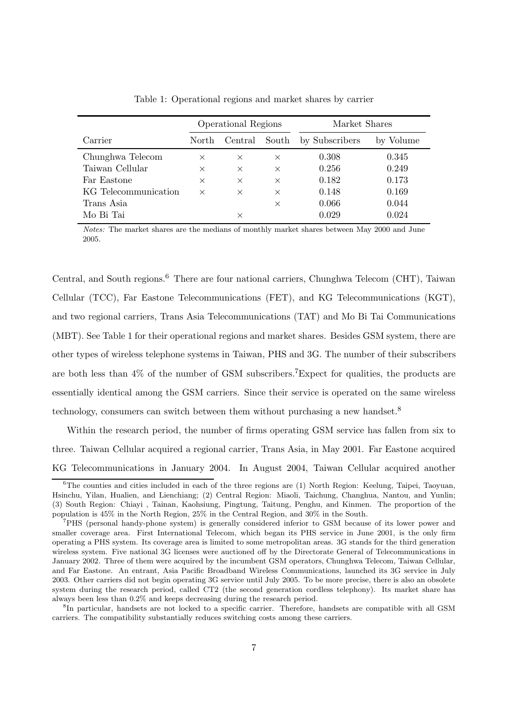|                      | <b>Operational Regions</b> |          | Market Shares |                |           |
|----------------------|----------------------------|----------|---------------|----------------|-----------|
| Carrier              | North                      | Central  | South         | by Subscribers | by Volume |
| Chunghwa Telecom     | $\times$                   | $\times$ | $\times$      | 0.308          | 0.345     |
| Taiwan Cellular      | $\times$                   | $\times$ | $\times$      | 0.256          | 0.249     |
| Far Eastone          | $\times$                   | $\times$ | $\times$      | 0.182          | 0.173     |
| KG Telecommunication | $\times$                   | $\times$ | $\times$      | 0.148          | 0.169     |
| Trans Asia           |                            |          | $\times$      | 0.066          | 0.044     |
| Mo Bi Tai            |                            | X        |               | 0.029          | 0.024     |

Table 1: Operational regions and market shares by carrier

Notes: The market shares are the medians of monthly market shares between May 2000 and June 2005.

Central, and South regions.<sup>6</sup> There are four national carriers, Chunghwa Telecom (CHT), Taiwan Cellular (TCC), Far Eastone Telecommunications (FET), and KG Telecommunications (KGT), and two regional carriers, Trans Asia Telecommunications (TAT) and Mo Bi Tai Communications (MBT). See Table 1 for their operational regions and market shares. Besides GSM system, there are other types of wireless telephone systems in Taiwan, PHS and 3G. The number of their subscribers are both less than  $4\%$  of the number of GSM subscribers.<sup>7</sup>Expect for qualities, the products are essentially identical among the GSM carriers. Since their service is operated on the same wireless technology, consumers can switch between them without purchasing a new handset.<sup>8</sup>

Within the research period, the number of firms operating GSM service has fallen from six to three. Taiwan Cellular acquired a regional carrier, Trans Asia, in May 2001. Far Eastone acquired KG Telecommunications in January 2004. In August 2004, Taiwan Cellular acquired another

 $6$ The counties and cities included in each of the three regions are (1) North Region: Keelung, Taipei, Taoyuan, Hsinchu, Yilan, Hualien, and Lienchiang; (2) Central Region: Miaoli, Taichung, Changhua, Nantou, and Yunlin; (3) South Region: Chiayi , Tainan, Kaohsiung, Pingtung, Taitung, Penghu, and Kinmen. The proportion of the population is 45% in the North Region, 25% in the Central Region, and 30% in the South.

<sup>7</sup>PHS (personal handy-phone system) is generally considered inferior to GSM because of its lower power and smaller coverage area. First International Telecom, which began its PHS service in June 2001, is the only firm operating a PHS system. Its coverage area is limited to some metropolitan areas. 3G stands for the third generation wireless system. Five national 3G licenses were auctioned off by the Directorate General of Telecommunications in January 2002. Three of them were acquired by the incumbent GSM operators, Chunghwa Telecom, Taiwan Cellular, and Far Eastone. An entrant, Asia Pacific Broadband Wireless Communications, launched its 3G service in July 2003. Other carriers did not begin operating 3G service until July 2005. To be more precise, there is also an obsolete system during the research period, called CT2 (the second generation cordless telephony). Its market share has always been less than 0.2% and keeps decreasing during the research period.

<sup>&</sup>lt;sup>8</sup>In particular, handsets are not locked to a specific carrier. Therefore, handsets are compatible with all GSM carriers. The compatibility substantially reduces switching costs among these carriers.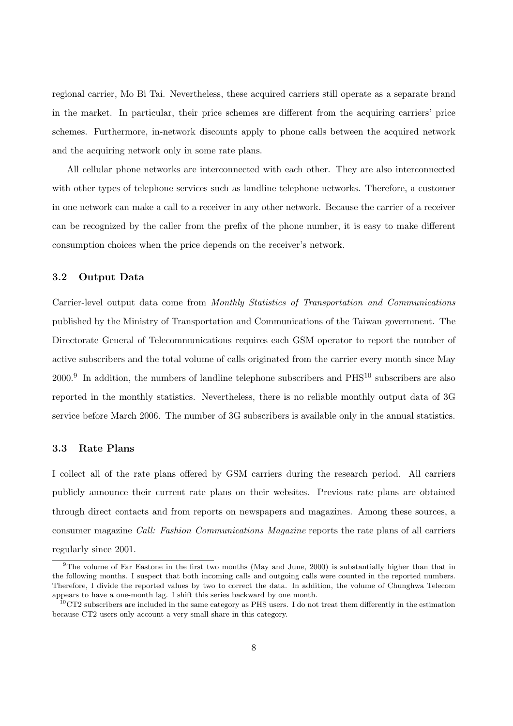regional carrier, Mo Bi Tai. Nevertheless, these acquired carriers still operate as a separate brand in the market. In particular, their price schemes are different from the acquiring carriers' price schemes. Furthermore, in-network discounts apply to phone calls between the acquired network and the acquiring network only in some rate plans.

All cellular phone networks are interconnected with each other. They are also interconnected with other types of telephone services such as landline telephone networks. Therefore, a customer in one network can make a call to a receiver in any other network. Because the carrier of a receiver can be recognized by the caller from the prefix of the phone number, it is easy to make different consumption choices when the price depends on the receiver's network.

## 3.2 Output Data

Carrier-level output data come from Monthly Statistics of Transportation and Communications published by the Ministry of Transportation and Communications of the Taiwan government. The Directorate General of Telecommunications requires each GSM operator to report the number of active subscribers and the total volume of calls originated from the carrier every month since May  $2000$ <sup>9</sup> In addition, the numbers of landline telephone subscribers and  $PHS<sup>10</sup>$  subscribers are also reported in the monthly statistics. Nevertheless, there is no reliable monthly output data of 3G service before March 2006. The number of 3G subscribers is available only in the annual statistics.

## 3.3 Rate Plans

I collect all of the rate plans offered by GSM carriers during the research period. All carriers publicly announce their current rate plans on their websites. Previous rate plans are obtained through direct contacts and from reports on newspapers and magazines. Among these sources, a consumer magazine Call: Fashion Communications Magazine reports the rate plans of all carriers regularly since 2001.

<sup>&</sup>lt;sup>9</sup>The volume of Far Eastone in the first two months (May and June, 2000) is substantially higher than that in the following months. I suspect that both incoming calls and outgoing calls were counted in the reported numbers. Therefore, I divide the reported values by two to correct the data. In addition, the volume of Chunghwa Telecom appears to have a one-month lag. I shift this series backward by one month.

 $10$ CT2 subscribers are included in the same category as PHS users. I do not treat them differently in the estimation because CT2 users only account a very small share in this category.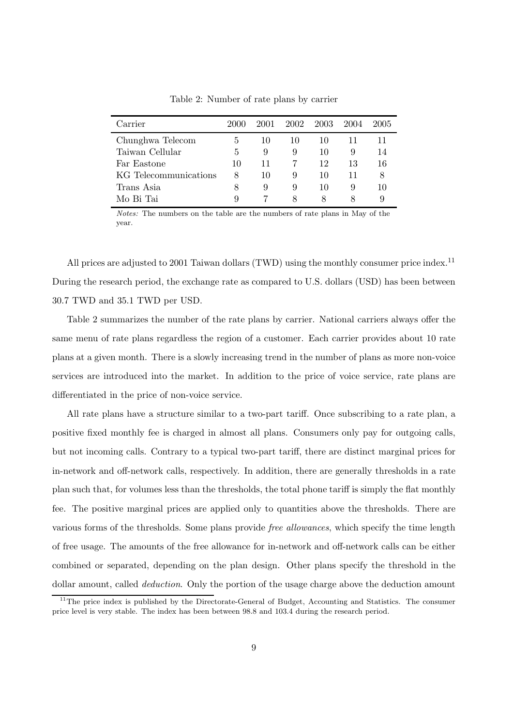| Carrier               | 2000 | 2001 | 2002 | - 2003 | 2004 | 2005 |
|-----------------------|------|------|------|--------|------|------|
| Chunghwa Telecom      | h    | 10   | 10   | 10     |      | 11   |
| Taiwan Cellular       | 5    | 9    | 9    | 10     | 9    | 14   |
| Far Eastone           | 10   | 11   |      | 12     | 13   | 16   |
| KG Telecommunications | 8    | 10   | 9    | 10     |      | 8    |
| Trans Asia            | 8    | 9    | 9    | 10     | 9    | 10   |
| Mo Bi Tai             | 9    |      | 8    | x      |      |      |

Table 2: Number of rate plans by carrier

Notes: The numbers on the table are the numbers of rate plans in May of the year.

All prices are adjusted to 2001 Taiwan dollars (TWD) using the monthly consumer price index.<sup>11</sup> During the research period, the exchange rate as compared to U.S. dollars (USD) has been between 30.7 TWD and 35.1 TWD per USD.

Table 2 summarizes the number of the rate plans by carrier. National carriers always offer the same menu of rate plans regardless the region of a customer. Each carrier provides about 10 rate plans at a given month. There is a slowly increasing trend in the number of plans as more non-voice services are introduced into the market. In addition to the price of voice service, rate plans are differentiated in the price of non-voice service.

All rate plans have a structure similar to a two-part tariff. Once subscribing to a rate plan, a positive fixed monthly fee is charged in almost all plans. Consumers only pay for outgoing calls, but not incoming calls. Contrary to a typical two-part tariff, there are distinct marginal prices for in-network and off-network calls, respectively. In addition, there are generally thresholds in a rate plan such that, for volumes less than the thresholds, the total phone tariff is simply the flat monthly fee. The positive marginal prices are applied only to quantities above the thresholds. There are various forms of the thresholds. Some plans provide free allowances, which specify the time length of free usage. The amounts of the free allowance for in-network and off-network calls can be either combined or separated, depending on the plan design. Other plans specify the threshold in the dollar amount, called *deduction*. Only the portion of the usage charge above the deduction amount

<sup>&</sup>lt;sup>11</sup>The price index is published by the Directorate-General of Budget, Accounting and Statistics. The consumer price level is very stable. The index has been between 98.8 and 103.4 during the research period.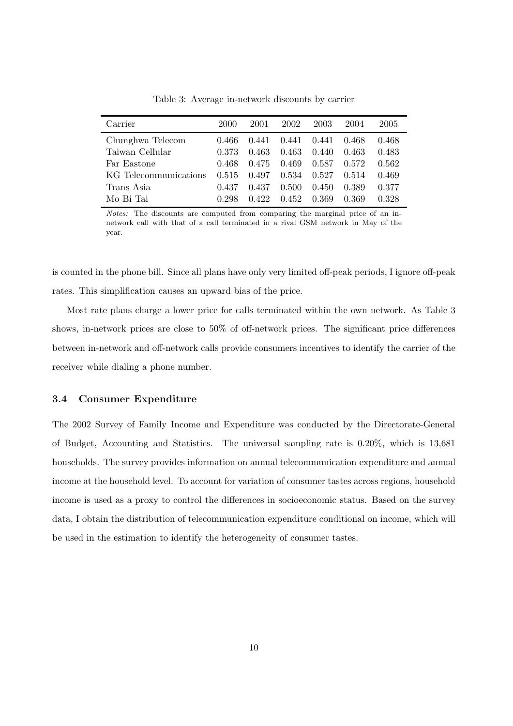| Carrier               | 2000  | 2001  | 2002  | 2003  | 2004  | 2005  |
|-----------------------|-------|-------|-------|-------|-------|-------|
| Chunghwa Telecom      | 0.466 | 0.441 | 0.441 | 0.441 | 0.468 | 0.468 |
| Taiwan Cellular       | 0.373 | 0.463 | 0.463 | 0.440 | 0.463 | 0.483 |
| Far Eastone           | 0.468 | 0.475 | 0.469 | 0.587 | 0.572 | 0.562 |
| KG Telecommunications | 0.515 | 0.497 | 0.534 | 0.527 | 0.514 | 0.469 |
| Trans Asia            | 0.437 | 0.437 | 0.500 | 0.450 | 0.389 | 0.377 |
| Mo Bi Tai             | 0.298 | 0.422 | 0.452 | 0.369 | 0.369 | 0.328 |

Table 3: Average in-network discounts by carrier

Notes: The discounts are computed from comparing the marginal price of an innetwork call with that of a call terminated in a rival GSM network in May of the year.

is counted in the phone bill. Since all plans have only very limited off-peak periods, I ignore off-peak rates. This simplification causes an upward bias of the price.

Most rate plans charge a lower price for calls terminated within the own network. As Table 3 shows, in-network prices are close to 50% of off-network prices. The significant price differences between in-network and off-network calls provide consumers incentives to identify the carrier of the receiver while dialing a phone number.

#### 3.4 Consumer Expenditure

The 2002 Survey of Family Income and Expenditure was conducted by the Directorate-General of Budget, Accounting and Statistics. The universal sampling rate is 0.20%, which is 13,681 households. The survey provides information on annual telecommunication expenditure and annual income at the household level. To account for variation of consumer tastes across regions, household income is used as a proxy to control the differences in socioeconomic status. Based on the survey data, I obtain the distribution of telecommunication expenditure conditional on income, which will be used in the estimation to identify the heterogeneity of consumer tastes.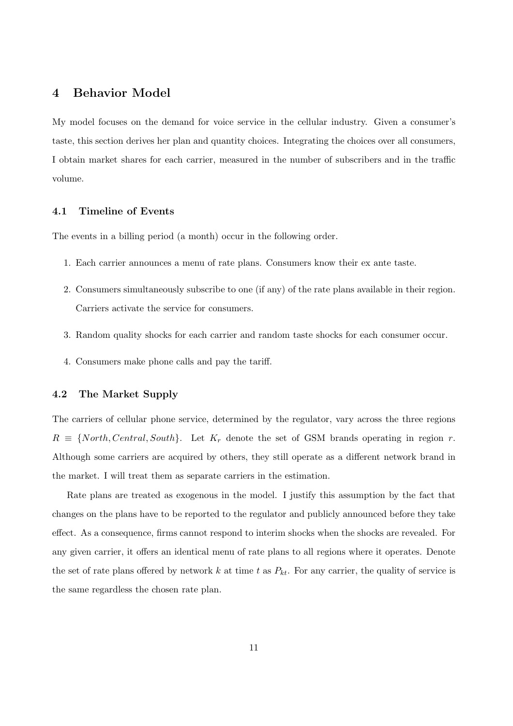# 4 Behavior Model

My model focuses on the demand for voice service in the cellular industry. Given a consumer's taste, this section derives her plan and quantity choices. Integrating the choices over all consumers, I obtain market shares for each carrier, measured in the number of subscribers and in the traffic volume.

## 4.1 Timeline of Events

The events in a billing period (a month) occur in the following order.

- 1. Each carrier announces a menu of rate plans. Consumers know their ex ante taste.
- 2. Consumers simultaneously subscribe to one (if any) of the rate plans available in their region. Carriers activate the service for consumers.
- 3. Random quality shocks for each carrier and random taste shocks for each consumer occur.
- 4. Consumers make phone calls and pay the tariff.

## 4.2 The Market Supply

The carriers of cellular phone service, determined by the regulator, vary across the three regions  $R \equiv \{North, Central, South\}$ . Let  $K_r$  denote the set of GSM brands operating in region r. Although some carriers are acquired by others, they still operate as a different network brand in the market. I will treat them as separate carriers in the estimation.

Rate plans are treated as exogenous in the model. I justify this assumption by the fact that changes on the plans have to be reported to the regulator and publicly announced before they take effect. As a consequence, firms cannot respond to interim shocks when the shocks are revealed. For any given carrier, it offers an identical menu of rate plans to all regions where it operates. Denote the set of rate plans offered by network k at time t as  $P_{kt}$ . For any carrier, the quality of service is the same regardless the chosen rate plan.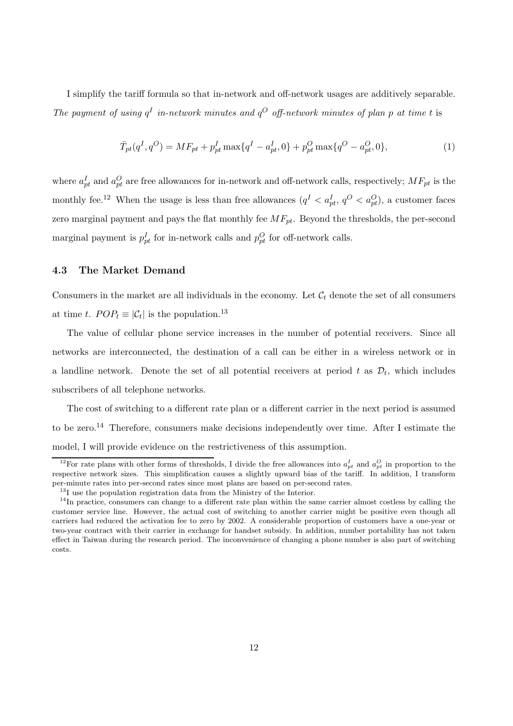I simplify the tariff formula so that in-network and off-network usages are additively separable. The payment of using  $q<sup>I</sup>$  in-network minutes and  $q<sup>O</sup>$  off-network minutes of plan p at time t is

$$
\bar{T}_{pt}(q^I, q^O) = MF_{pt} + p_{pt}^I \max\{q^I - a_{pt}^I, 0\} + p_{pt}^O \max\{q^O - a_{pt}^O, 0\},\tag{1}
$$

where  $a_{pt}^I$  and  $a_{pt}^O$  are free allowances for in-network and off-network calls, respectively;  $MF_{pt}$  is the monthly fee.<sup>12</sup> When the usage is less than free allowances  $(q^I < a_{pt}^I, q^O < a_{pt}^O)$ , a customer faces zero marginal payment and pays the flat monthly fee  $MF_{pt}$ . Beyond the thresholds, the per-second marginal payment is  $p_{pt}^I$  for in-network calls and  $p_{pt}^O$  for off-network calls.

## 4.3 The Market Demand

Consumers in the market are all individuals in the economy. Let  $\mathcal{C}_t$  denote the set of all consumers at time t.  $POP_t \equiv |\mathcal{C}_t|$  is the population.<sup>13</sup>

The value of cellular phone service increases in the number of potential receivers. Since all networks are interconnected, the destination of a call can be either in a wireless network or in a landline network. Denote the set of all potential receivers at period t as  $\mathcal{D}_t$ , which includes subscribers of all telephone networks.

The cost of switching to a different rate plan or a different carrier in the next period is assumed to be zero.<sup>14</sup> Therefore, consumers make decisions independently over time. After I estimate the model, I will provide evidence on the restrictiveness of this assumption.

<sup>&</sup>lt;sup>12</sup>For rate plans with other forms of thresholds, I divide the free allowances into  $a_{pt}^I$  and  $a_{pt}^O$  in proportion to the respective network sizes. This simplification causes a slightly upward bias of the tariff. In addition, I transform per-minute rates into per-second rates since most plans are based on per-second rates.

 $^{13}{\rm I}$  use the population registration data from the Ministry of the Interior.

<sup>&</sup>lt;sup>14</sup>In practice, consumers can change to a different rate plan within the same carrier almost costless by calling the customer service line. However, the actual cost of switching to another carrier might be positive even though all carriers had reduced the activation fee to zero by 2002. A considerable proportion of customers have a one-year or two-year contract with their carrier in exchange for handset subsidy. In addition, number portability has not taken effect in Taiwan during the research period. The inconvenience of changing a phone number is also part of switching costs.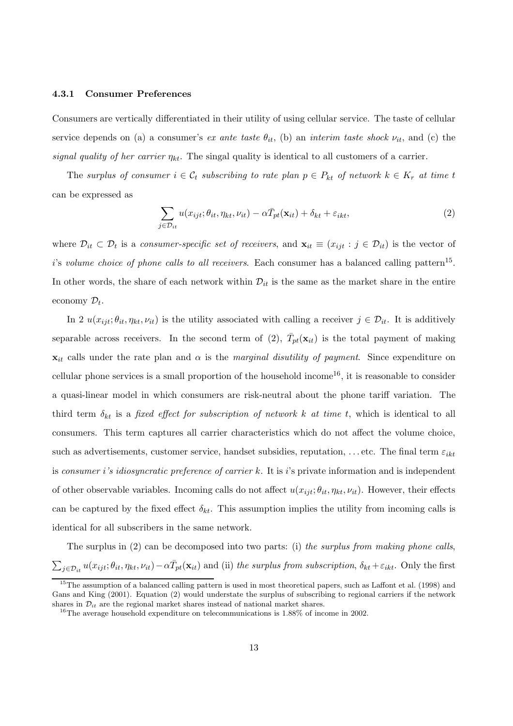#### 4.3.1 Consumer Preferences

Consumers are vertically differentiated in their utility of using cellular service. The taste of cellular service depends on (a) a consumer's ex ante taste  $\theta_{it}$ , (b) an interim taste shock  $\nu_{it}$ , and (c) the signal quality of her carrier  $\eta_{kt}$ . The singal quality is identical to all customers of a carrier.

The surplus of consumer  $i \in \mathcal{C}_t$  subscribing to rate plan  $p \in P_{kt}$  of network  $k \in K_r$  at time t can be expressed as

$$
\sum_{j \in \mathcal{D}_{it}} u(x_{ijt}; \theta_{it}, \eta_{kt}, \nu_{it}) - \alpha \bar{T}_{pt}(\mathbf{x}_{it}) + \delta_{kt} + \varepsilon_{ikt}, \tag{2}
$$

where  $\mathcal{D}_{it} \subset \mathcal{D}_t$  is a consumer-specific set of receivers, and  $\mathbf{x}_{it} \equiv (x_{ijt} : j \in \mathcal{D}_{it})$  is the vector of i's volume choice of phone calls to all receivers. Each consumer has a balanced calling pattern<sup>15</sup>. In other words, the share of each network within  $\mathcal{D}_{it}$  is the same as the market share in the entire economy  $\mathcal{D}_t$ .

In 2  $u(x_{ijt}; \theta_{it}, \eta_{kt}, \nu_{it})$  is the utility associated with calling a receiver  $j \in \mathcal{D}_{it}$ . It is additively separable across receivers. In the second term of (2),  $\bar{T}_{pt}(\mathbf{x}_{it})$  is the total payment of making  $x_{it}$  calls under the rate plan and  $\alpha$  is the *marginal disutility of payment*. Since expenditure on cellular phone services is a small proportion of the household income<sup>16</sup>, it is reasonable to consider a quasi-linear model in which consumers are risk-neutral about the phone tariff variation. The third term  $\delta_{kt}$  is a fixed effect for subscription of network k at time t, which is identical to all consumers. This term captures all carrier characteristics which do not affect the volume choice, such as advertisements, customer service, handset subsidies, reputation, ... etc. The final term  $\varepsilon_{ikt}$ is consumer i's idiosyncratic preference of carrier k. It is i's private information and is independent of other observable variables. Incoming calls do not affect  $u(x_{ijt}; \theta_{it}, \eta_{kt}, \nu_{it})$ . However, their effects can be captured by the fixed effect  $\delta_{kt}$ . This assumption implies the utility from incoming calls is identical for all subscribers in the same network.

The surplus in (2) can be decomposed into two parts: (i) the surplus from making phone calls,  $\sum_{j\in\mathcal{D}_{it}}u(x_{ijt};\theta_{it},\eta_{kt},\nu_{it})-\alpha\bar{T}_{pt}(\mathbf{x}_{it})$  and (ii) the surplus from subscription,  $\delta_{kt}+\varepsilon_{ikt}$ . Only the first

 $15$ The assumption of a balanced calling pattern is used in most theoretical papers, such as Laffont et al. (1998) and Gans and King (2001). Equation (2) would understate the surplus of subscribing to regional carriers if the network shares in  $\mathcal{D}_{it}$  are the regional market shares instead of national market shares.

 $16$ The average household expenditure on telecommunications is  $1.88\%$  of income in 2002.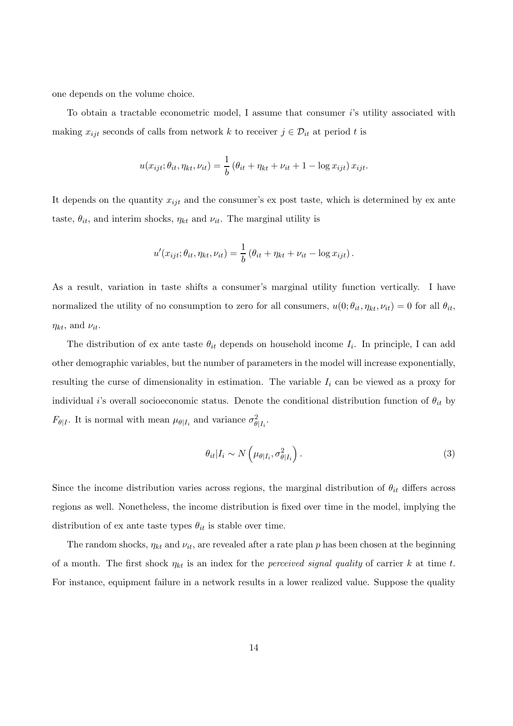one depends on the volume choice.

To obtain a tractable econometric model, I assume that consumer i's utility associated with making  $x_{ijt}$  seconds of calls from network k to receiver  $j \in \mathcal{D}_{it}$  at period t is

$$
u(x_{ijt}; \theta_{it}, \eta_{kt}, \nu_{it}) = \frac{1}{b} \left( \theta_{it} + \eta_{kt} + \nu_{it} + 1 - \log x_{ijt} \right) x_{ijt}.
$$

It depends on the quantity  $x_{ijt}$  and the consumer's ex post taste, which is determined by ex ante taste,  $\theta_{it}$ , and interim shocks,  $\eta_{kt}$  and  $\nu_{it}$ . The marginal utility is

$$
u'(x_{ijt}; \theta_{it}, \eta_{kt}, \nu_{it}) = \frac{1}{b} (\theta_{it} + \eta_{kt} + \nu_{it} - \log x_{ijt}).
$$

As a result, variation in taste shifts a consumer's marginal utility function vertically. I have normalized the utility of no consumption to zero for all consumers,  $u(0; \theta_{it}, \eta_{kt}, \nu_{it}) = 0$  for all  $\theta_{it}$ ,  $\eta_{kt}$ , and  $\nu_{it}$ .

The distribution of ex ante taste  $\theta_{it}$  depends on household income  $I_i$ . In principle, I can add other demographic variables, but the number of parameters in the model will increase exponentially, resulting the curse of dimensionality in estimation. The variable  $I_i$  can be viewed as a proxy for individual i's overall socioeconomic status. Denote the conditional distribution function of  $\theta_{it}$  by  $F_{\theta|I}$ . It is normal with mean  $\mu_{\theta|I_i}$  and variance  $\sigma_{\theta|I_i}^2$ .

$$
\theta_{it} | I_i \sim N\left(\mu_{\theta | I_i}, \sigma_{\theta | I_i}^2\right).
$$
\n(3)

Since the income distribution varies across regions, the marginal distribution of  $\theta_{it}$  differs across regions as well. Nonetheless, the income distribution is fixed over time in the model, implying the distribution of ex ante taste types  $\theta_{it}$  is stable over time.

The random shocks,  $\eta_{kt}$  and  $\nu_{it}$ , are revealed after a rate plan p has been chosen at the beginning of a month. The first shock  $\eta_{kt}$  is an index for the *perceived signal quality* of carrier k at time t. For instance, equipment failure in a network results in a lower realized value. Suppose the quality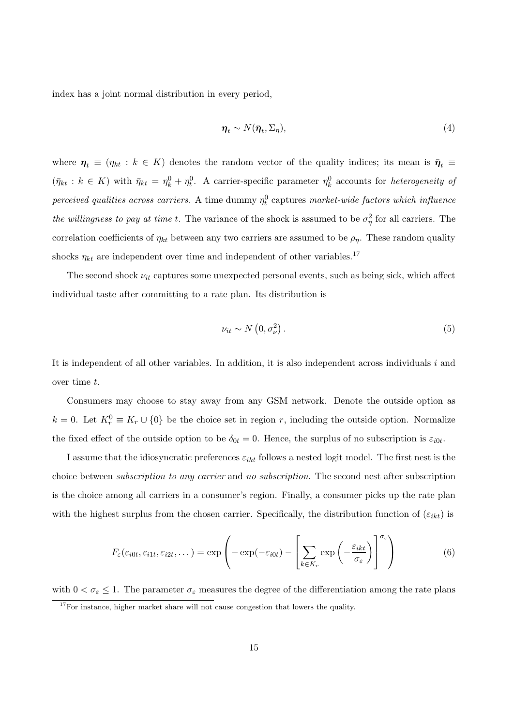index has a joint normal distribution in every period,

$$
\boldsymbol{\eta}_t \sim N(\bar{\boldsymbol{\eta}}_t, \boldsymbol{\Sigma}_{\eta}),\tag{4}
$$

where  $\eta_t \equiv (\eta_{kt} : k \in K)$  denotes the random vector of the quality indices; its mean is  $\bar{\eta}_t \equiv$  $(\bar{\eta}_{kt}: k \in K)$  with  $\bar{\eta}_{kt} = \eta_k^0 + \eta_t^0$ . A carrier-specific parameter  $\eta_k^0$  accounts for *heterogeneity of* perceived qualities across carriers. A time dummy  $\eta_t^0$  captures market-wide factors which influence the willingness to pay at time t. The variance of the shock is assumed to be  $\sigma_{\eta}^2$  for all carriers. The correlation coefficients of  $\eta_{kt}$  between any two carriers are assumed to be  $\rho_{\eta}$ . These random quality shocks  $\eta_{kt}$  are independent over time and independent of other variables.<sup>17</sup>

The second shock  $\nu_{it}$  captures some unexpected personal events, such as being sick, which affect individual taste after committing to a rate plan. Its distribution is

$$
\nu_{it} \sim N\left(0, \sigma_{\nu}^{2}\right). \tag{5}
$$

It is independent of all other variables. In addition, it is also independent across individuals  $i$  and over time t.

Consumers may choose to stay away from any GSM network. Denote the outside option as  $k = 0$ . Let  $K_r^0 \equiv K_r \cup \{0\}$  be the choice set in region r, including the outside option. Normalize the fixed effect of the outside option to be  $\delta_{0t} = 0$ . Hence, the surplus of no subscription is  $\varepsilon_{i0t}$ .

I assume that the idiosyncratic preferences  $\varepsilon_{ikt}$  follows a nested logit model. The first nest is the choice between subscription to any carrier and no subscription. The second nest after subscription is the choice among all carriers in a consumer's region. Finally, a consumer picks up the rate plan with the highest surplus from the chosen carrier. Specifically, the distribution function of  $(\varepsilon_{ikt})$  is

$$
F_{\varepsilon}(\varepsilon_{i0t},\varepsilon_{i1t},\varepsilon_{i2t},\dots) = \exp\left(-\exp(-\varepsilon_{i0t}) - \left[\sum_{k\in K_r} \exp\left(-\frac{\varepsilon_{ikt}}{\sigma_{\varepsilon}}\right)\right]^{\sigma_{\varepsilon}}\right)
$$
(6)

with  $0 < \sigma_{\varepsilon} \leq 1$ . The parameter  $\sigma_{\varepsilon}$  measures the degree of the differentiation among the rate plans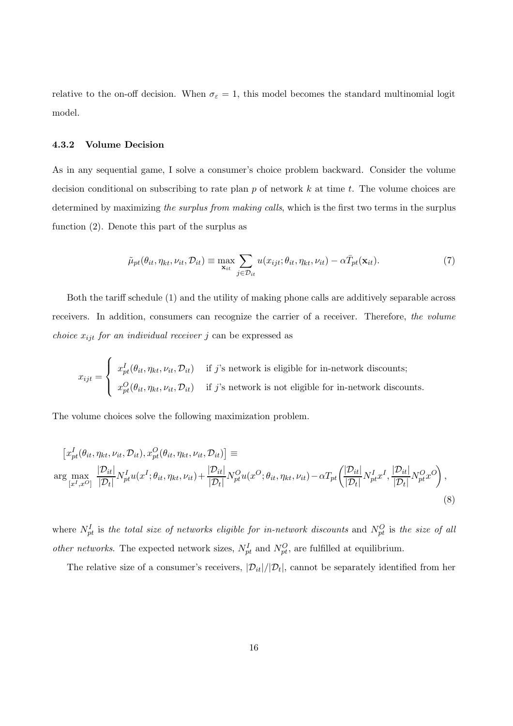relative to the on-off decision. When  $\sigma_{\epsilon} = 1$ , this model becomes the standard multinomial logit model.

### 4.3.2 Volume Decision

As in any sequential game, I solve a consumer's choice problem backward. Consider the volume decision conditional on subscribing to rate plan  $p$  of network  $k$  at time  $t$ . The volume choices are determined by maximizing the surplus from making calls, which is the first two terms in the surplus function (2). Denote this part of the surplus as

$$
\tilde{\mu}_{pt}(\theta_{it}, \eta_{kt}, \nu_{it}, \mathcal{D}_{it}) \equiv \max_{\mathbf{x}_{it}} \sum_{j \in \mathcal{D}_{it}} u(x_{ijt}; \theta_{it}, \eta_{kt}, \nu_{it}) - \alpha \bar{T}_{pt}(\mathbf{x}_{it}). \tag{7}
$$

Both the tariff schedule (1) and the utility of making phone calls are additively separable across receivers. In addition, consumers can recognize the carrier of a receiver. Therefore, the volume *choice*  $x_{ijt}$  for an individual receiver j can be expressed as

$$
x_{ijt} = \begin{cases} x_{pt}^I(\theta_{it}, \eta_{kt}, \nu_{it}, \mathcal{D}_{it}) & \text{if } j \text{'s network is eligible for in-network discounts;}\\ x_{pt}^O(\theta_{it}, \eta_{kt}, \nu_{it}, \mathcal{D}_{it}) & \text{if } j \text{'s network is not eligible for in-network discounts.} \end{cases}
$$

The volume choices solve the following maximization problem.

$$
\begin{split} \left[x_{pt}^{I}(\theta_{it}, \eta_{kt}, \nu_{it}, \mathcal{D}_{it}), x_{pt}^{O}(\theta_{it}, \eta_{kt}, \nu_{it}, \mathcal{D}_{it})\right] & \equiv\\ \arg\max_{\left[x^{I}, x^{O}\right]} \frac{|\mathcal{D}_{it}|}{|\mathcal{D}_{t}|} N_{pt}^{I} u(x^{I}; \theta_{it}, \eta_{kt}, \nu_{it}) + \frac{|\mathcal{D}_{it}|}{|\mathcal{D}_{t}|} N_{pt}^{O} u(x^{O}; \theta_{it}, \eta_{kt}, \nu_{it}) - \alpha T_{pt} \left(\frac{|\mathcal{D}_{it}|}{|\mathcal{D}_{t}|} N_{pt}^{I} x^{I}, \frac{|\mathcal{D}_{it}|}{|\mathcal{D}_{t}|} N_{pt}^{O} x^{O}\right), \end{split} \tag{8}
$$

where  $N_{pt}^I$  is the total size of networks eligible for in-network discounts and  $N_{pt}^O$  is the size of all *other networks*. The expected network sizes,  $N_{pt}^I$  and  $N_{pt}^O$ , are fulfilled at equilibrium.

The relative size of a consumer's receivers,  $|\mathcal{D}_{it}|/|\mathcal{D}_t|$ , cannot be separately identified from her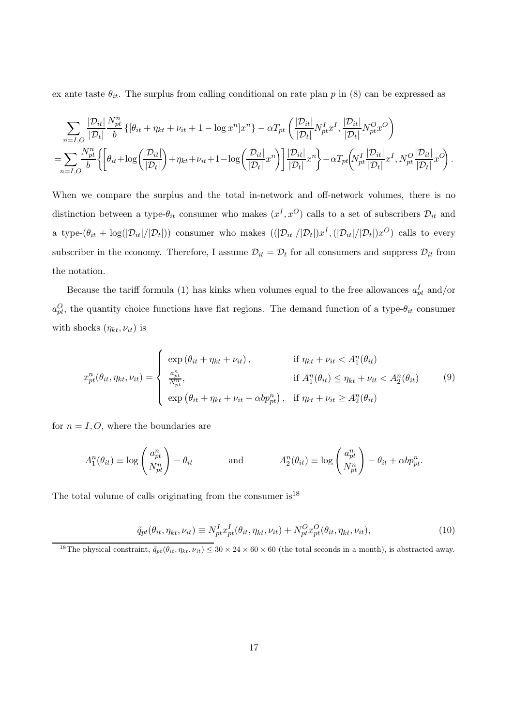ex ante taste  $\theta_{it}$ . The surplus from calling conditional on rate plan p in (8) can be expressed as

$$
\sum_{n=I,O} \frac{|\mathcal{D}_{it}|}{|\mathcal{D}_t|} \frac{N_{pt}^n}{b} \left\{ \left[ \theta_{it} + \eta_{kt} + \nu_{it} + 1 - \log x^n \right] x^n \right\} - \alpha T_{pt} \left( \frac{|\mathcal{D}_{it}|}{|\mathcal{D}_t|} N_{pt}^I x^I, \frac{|\mathcal{D}_{it}|}{|\mathcal{D}_t|} N_{pt}^O x^O \right) \right\}
$$
  
= 
$$
\sum_{n=I,O} \frac{N_{pt}^n}{b} \left\{ \left[ \theta_{it} + \log \left( \frac{|\mathcal{D}_{it}|}{|\mathcal{D}_t|} \right) + \eta_{kt} + \nu_{it} + 1 - \log \left( \frac{|\mathcal{D}_{it}|}{|\mathcal{D}_t|} x^n \right) \right] \frac{|\mathcal{D}_{it}|}{|\mathcal{D}_t|} x^n \right\} - \alpha T_{pt} \left( N_{pt}^I \frac{|\mathcal{D}_{it}|}{|\mathcal{D}_t|} x^I, N_{pt}^O \frac{|\mathcal{D}_{it}|}{|\mathcal{D}_t|} x^O \right).
$$

When we compare the surplus and the total in-network and off-network volumes, there is no distinction between a type- $\theta_{it}$  consumer who makes  $(x^I, x^O)$  calls to a set of subscribers  $\mathcal{D}_{it}$  and a type- $(\theta_{it} + \log(|\mathcal{D}_{it}|/|\mathcal{D}_t|))$  consumer who makes  $((|\mathcal{D}_{it}|/|\mathcal{D}_t|)x^I, (|\mathcal{D}_{it}|/|\mathcal{D}_t|)x^O)$  calls to every subscriber in the economy. Therefore, I assume  $\mathcal{D}_{it} = \mathcal{D}_t$  for all consumers and suppress  $\mathcal{D}_{it}$  from the notation.

Because the tariff formula (1) has kinks when volumes equal to the free allowances  $a_{pt}^I$  and/or  $a_{pt}^O$ , the quantity choice functions have flat regions. The demand function of a type- $\theta_{it}$  consumer with shocks  $(\eta_{kt}, \nu_{it})$  is

$$
x_{pt}^n(\theta_{it}, \eta_{kt}, \nu_{it}) = \begin{cases} \exp\left(\theta_{it} + \eta_{kt} + \nu_{it}\right), & \text{if } \eta_{kt} + \nu_{it} < A_1^n(\theta_{it})\\ \frac{a_{pt}^n}{N_{pt}^n}, & \text{if } A_1^n(\theta_{it}) \le \eta_{kt} + \nu_{it} < A_2^n(\theta_{it})\\ \exp\left(\theta_{it} + \eta_{kt} + \nu_{it} - \alpha b p_{pt}^n\right), & \text{if } \eta_{kt} + \nu_{it} \ge A_2^n(\theta_{it}) \end{cases} \tag{9}
$$

for  $n = I, O$ , where the boundaries are

$$
A_1^n(\theta_{it}) \equiv \log\left(\frac{a_{pt}^n}{N_{pt}^n}\right) - \theta_{it} \qquad \text{and} \qquad A_2^n(\theta_{it}) \equiv \log\left(\frac{a_{pt}^n}{N_{pt}^n}\right) - \theta_{it} + \alpha b p_{pt}^n.
$$

The total volume of calls originating from the consumer  $is^{18}$ 

$$
\tilde{q}_{pt}(\theta_{it}, \eta_{kt}, \nu_{it}) \equiv N_{pt}^I x_{pt}^I(\theta_{it}, \eta_{kt}, \nu_{it}) + N_{pt}^O x_{pt}^O(\theta_{it}, \eta_{kt}, \nu_{it}), \qquad (10)
$$

<sup>&</sup>lt;sup>18</sup>The physical constraint,  $\tilde{q}_{pt}(\theta_{it}, \eta_{kt}, \nu_{it}) \leq 30 \times 24 \times 60 \times 60$  (the total seconds in a month), is abstracted away.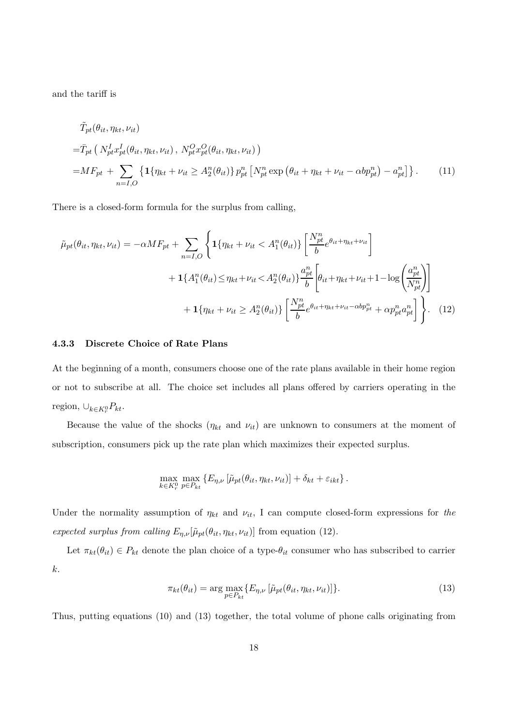and the tariff is

$$
\tilde{T}_{pt}(\theta_{it}, \eta_{kt}, \nu_{it})
$$
\n
$$
= \bar{T}_{pt} \left( N_{pt}^{I} x_{pt}^{I}(\theta_{it}, \eta_{kt}, \nu_{it}), N_{pt}^{O} x_{pt}^{O}(\theta_{it}, \eta_{kt}, \nu_{it}) \right)
$$
\n
$$
= M F_{pt} + \sum_{n=I,O} \left\{ \mathbf{1} \{ \eta_{kt} + \nu_{it} \ge A_{2}^{n}(\theta_{it}) \} p_{pt}^{n} \left[ N_{pt}^{n} \exp \left( \theta_{it} + \eta_{kt} + \nu_{it} - \alpha b p_{pt}^{n} \right) - a_{pt}^{n} \right] \right\}.
$$
\n(11)

There is a closed-form formula for the surplus from calling,

$$
\tilde{\mu}_{pt}(\theta_{it}, \eta_{kt}, \nu_{it}) = -\alpha M F_{pt} + \sum_{n=I,O} \left\{ \mathbf{1} \{ \eta_{kt} + \nu_{it} < A_1^n(\theta_{it}) \} \left[ \frac{N_{pt}^n}{b} e^{\theta_{it} + \eta_{kt} + \nu_{it}} \right] \right. \\
\left. + \mathbf{1} \{ A_1^n(\theta_{it}) \le \eta_{kt} + \nu_{it} < A_2^n(\theta_{it}) \} \frac{a_{pt}^n}{b} \left[ \theta_{it} + \eta_{kt} + \nu_{it} + 1 - \log \left( \frac{a_{pt}^n}{N_{pt}^n} \right) \right] \right. \\
\left. + \mathbf{1} \{ \eta_{kt} + \nu_{it} \ge A_2^n(\theta_{it}) \} \left[ \frac{N_{pt}^n}{b} e^{\theta_{it} + \eta_{kt} + \nu_{it} - \alpha b p_{pt}^n} + \alpha p_{pt}^n a_{pt}^n \right] \right\}.
$$
\n(12)

#### 4.3.3 Discrete Choice of Rate Plans

At the beginning of a month, consumers choose one of the rate plans available in their home region or not to subscribe at all. The choice set includes all plans offered by carriers operating in the region,  $\cup_{k \in K_r^0} P_{kt}$ .

Because the value of the shocks  $(\eta_{kt}$  and  $\nu_{it})$  are unknown to consumers at the moment of subscription, consumers pick up the rate plan which maximizes their expected surplus.

$$
\max_{k \in K_r^0} \max_{p \in P_{kt}} \left\{ E_{\eta,\nu} \left[ \tilde{\mu}_{pt}(\theta_{it}, \eta_{kt}, \nu_{it}) \right] + \delta_{kt} + \varepsilon_{ikt} \right\}.
$$

Under the normality assumption of  $\eta_{kt}$  and  $\nu_{it}$ , I can compute closed-form expressions for the expected surplus from calling  $E_{\eta,\nu}[\tilde{\mu}_{pt}(\theta_{it}, \eta_{kt}, \nu_{it})]$  from equation (12).

Let  $\pi_{kt}(\theta_{it}) \in P_{kt}$  denote the plan choice of a type- $\theta_{it}$  consumer who has subscribed to carrier k.

$$
\pi_{kt}(\theta_{it}) = \arg \max_{p \in P_{kt}} \{ E_{\eta,\nu} \left[ \tilde{\mu}_{pt}(\theta_{it}, \eta_{kt}, \nu_{it}) \right] \}.
$$
\n(13)

Thus, putting equations (10) and (13) together, the total volume of phone calls originating from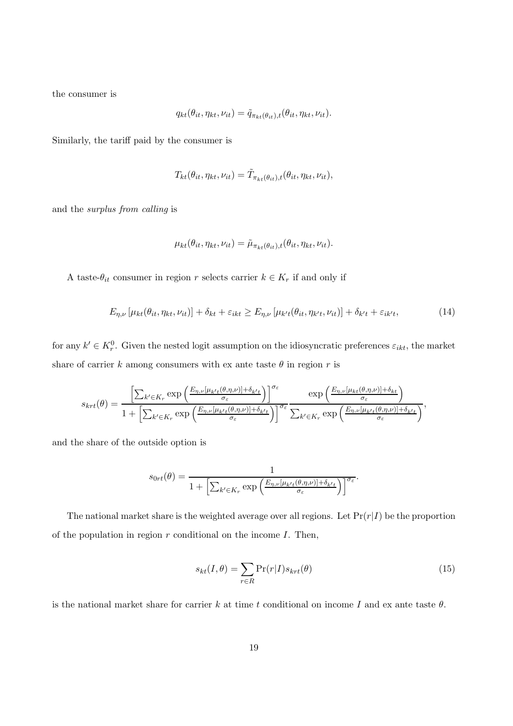the consumer is

$$
q_{kt}(\theta_{it}, \eta_{kt}, \nu_{it}) = \tilde{q}_{\pi_{kt}(\theta_{it}), t}(\theta_{it}, \eta_{kt}, \nu_{it}).
$$

Similarly, the tariff paid by the consumer is

$$
T_{kt}(\theta_{it}, \eta_{kt}, \nu_{it}) = \tilde{T}_{\pi_{kt}(\theta_{it}), t}(\theta_{it}, \eta_{kt}, \nu_{it}),
$$

and the surplus from calling is

$$
\mu_{kt}(\theta_{it}, \eta_{kt}, \nu_{it}) = \tilde{\mu}_{\pi_{kt}(\theta_{it}), t}(\theta_{it}, \eta_{kt}, \nu_{it}).
$$

A taste- $\theta_{it}$  consumer in region r selects carrier  $k \in K_r$  if and only if

$$
E_{\eta,\nu}\left[\mu_{kt}(\theta_{it},\eta_{kt},\nu_{it})\right] + \delta_{kt} + \varepsilon_{ikt} \ge E_{\eta,\nu}\left[\mu_{k't}(\theta_{it},\eta_{k't},\nu_{it})\right] + \delta_{k't} + \varepsilon_{ik't},\tag{14}
$$

for any  $k' \in K_r^0$ . Given the nested logit assumption on the idiosyncratic preferences  $\varepsilon_{ikt}$ , the market share of carrier k among consumers with ex ante taste  $\theta$  in region r is

$$
s_{krt}(\theta) = \frac{\left[\sum_{k' \in K_r} \exp\left(\frac{E_{\eta,\nu}[\mu_{k't}(\theta,\eta,\nu)] + \delta_{k't}}{\sigma_{\varepsilon}}\right)\right]^{\sigma_{\varepsilon}}}{1 + \left[\sum_{k' \in K_r} \exp\left(\frac{E_{\eta,\nu}[\mu_{k't}(\theta,\eta,\nu)] + \delta_{k't}}{\sigma_{\varepsilon}}\right)\right]^{\sigma_{\varepsilon}} \frac{\exp\left(\frac{E_{\eta,\nu}[\mu_{k't}(\theta,\eta,\nu)] + \delta_{k't}}{\sigma_{\varepsilon}}\right)}{\sum_{k' \in K_r} \exp\left(\frac{E_{\eta,\nu}[\mu_{k't}(\theta,\eta,\nu)] + \delta_{k't}}{\sigma_{\varepsilon}}\right)},
$$

and the share of the outside option is

$$
s_{0rt}(\theta) = \frac{1}{1 + \left[\sum_{k' \in K_r} \exp\left(\frac{E_{\eta,\nu}[\mu_{k't}(\theta,\eta,\nu)] + \delta_{k't}}{\sigma_{\varepsilon}}\right)\right]^{\sigma_{\varepsilon}}}.
$$

The national market share is the weighted average over all regions. Let  $Pr(r|I)$  be the proportion of the population in region  $r$  conditional on the income  $I$ . Then,

$$
s_{kt}(I,\theta) = \sum_{r \in R} \Pr(r|I) s_{krt}(\theta)
$$
\n(15)

is the national market share for carrier k at time t conditional on income I and ex ante taste  $\theta$ .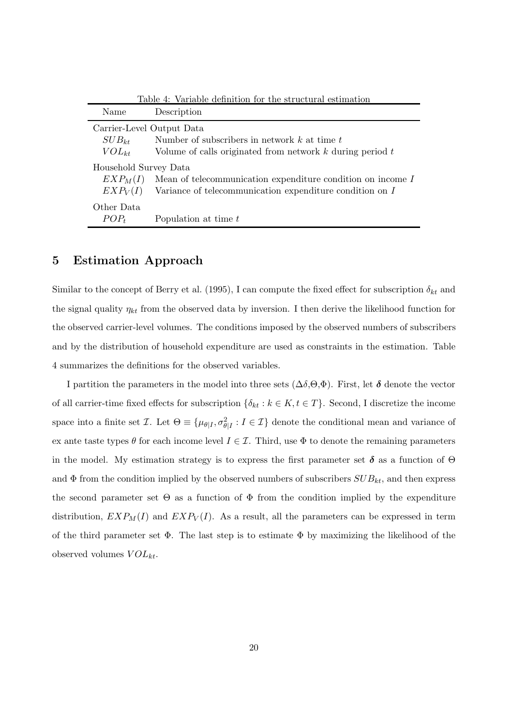|                           | Table 4: Variable definition for the structural estimation    |
|---------------------------|---------------------------------------------------------------|
| Name                      | Description                                                   |
| Carrier-Level Output Data |                                                               |
| $SUB_{kt}$                | Number of subscribers in network $k$ at time $t$              |
| $VOL_{kt}$                | Volume of calls originated from network $k$ during period $t$ |
| Household Survey Data     |                                                               |
| $EXP_M(I)$                | Mean of telecommunication expenditure condition on income I   |
| EXP <sub>V</sub> (I)      | Variance of telecommunication expenditure condition on $I$    |
| Other Data                |                                                               |
| $POP_t$                   | Population at time $t$                                        |

# 5 Estimation Approach

Similar to the concept of Berry et al. (1995), I can compute the fixed effect for subscription  $\delta_{kt}$  and the signal quality  $\eta_{kt}$  from the observed data by inversion. I then derive the likelihood function for the observed carrier-level volumes. The conditions imposed by the observed numbers of subscribers and by the distribution of household expenditure are used as constraints in the estimation. Table 4 summarizes the definitions for the observed variables.

I partition the parameters in the model into three sets  $(\Delta \delta, \Theta, \Phi)$ . First, let  $\delta$  denote the vector of all carrier-time fixed effects for subscription  $\{\delta_{kt} : k \in K, t \in T\}$ . Second, I discretize the income space into a finite set  $\mathcal{I}$ . Let  $\Theta \equiv \{\mu_{\theta|I}, \sigma_{\theta|I}^2 : I \in \mathcal{I}\}\$ denote the conditional mean and variance of ex ante taste types  $\theta$  for each income level  $I \in \mathcal{I}$ . Third, use  $\Phi$  to denote the remaining parameters in the model. My estimation strategy is to express the first parameter set  $\delta$  as a function of  $\Theta$ and  $\Phi$  from the condition implied by the observed numbers of subscribers  $SUB_{kt}$ , and then express the second parameter set  $\Theta$  as a function of  $\Phi$  from the condition implied by the expenditure distribution,  $EXP_M(I)$  and  $EXP_V(I)$ . As a result, all the parameters can be expressed in term of the third parameter set  $\Phi$ . The last step is to estimate  $\Phi$  by maximizing the likelihood of the observed volumes  $VOL_{kt}$ .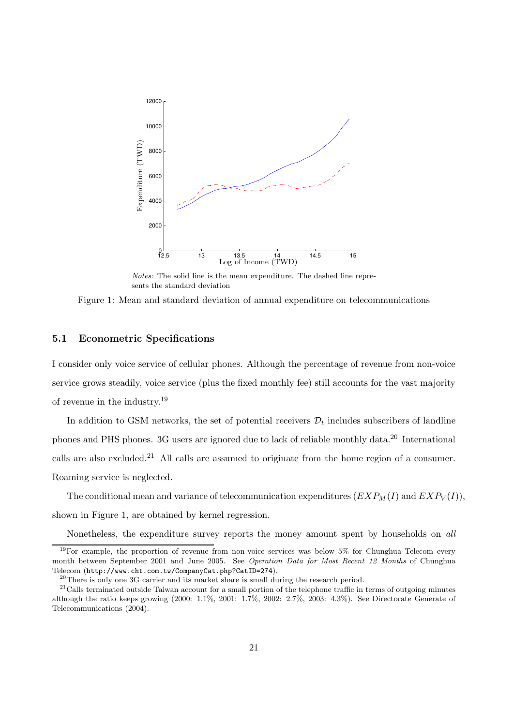

Notes: The solid line is the mean expenditure. The dashed line represents the standard deviation

Figure 1: Mean and standard deviation of annual expenditure on telecommunications

## 5.1 Econometric Specifications

I consider only voice service of cellular phones. Although the percentage of revenue from non-voice service grows steadily, voice service (plus the fixed monthly fee) still accounts for the vast majority of revenue in the industry.<sup>19</sup>

In addition to GSM networks, the set of potential receivers  $\mathcal{D}_t$  includes subscribers of landline phones and PHS phones. 3G users are ignored due to lack of reliable monthly data.<sup>20</sup> International calls are also excluded.<sup>21</sup> All calls are assumed to originate from the home region of a consumer. Roaming service is neglected.

The conditional mean and variance of telecommunication expenditures  $(EXP_M(I)$  and  $EXP_V(I)$ ), shown in Figure 1, are obtained by kernel regression.

Nonetheless, the expenditure survey reports the money amount spent by households on all

 $19$ For example, the proportion of revenue from non-voice services was below 5% for Chunghua Telecom every month between September 2001 and June 2005. See Operation Data for Most Recent 12 Months of Chunghua Telecom (http://www.cht.com.tw/CompanyCat.php?CatID=274).

 $20$ There is only one 3G carrier and its market share is small during the research period.

 $21$ Calls terminated outside Taiwan account for a small portion of the telephone traffic in terms of outgoing minutes although the ratio keeps growing (2000: 1.1%, 2001: 1.7%, 2002: 2.7%, 2003: 4.3%). See Directorate Generate of Telecommunications (2004).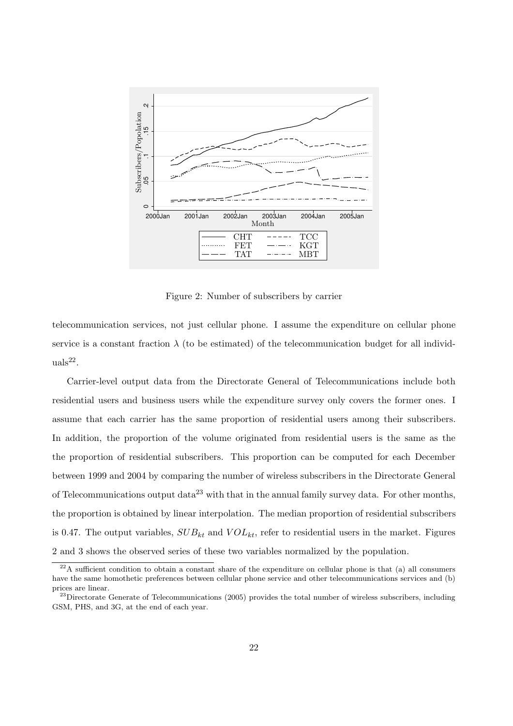

Figure 2: Number of subscribers by carrier

telecommunication services, not just cellular phone. I assume the expenditure on cellular phone service is a constant fraction  $\lambda$  (to be estimated) of the telecommunication budget for all individ- $\text{uals}^{22}$ .

Carrier-level output data from the Directorate General of Telecommunications include both residential users and business users while the expenditure survey only covers the former ones. I assume that each carrier has the same proportion of residential users among their subscribers. In addition, the proportion of the volume originated from residential users is the same as the the proportion of residential subscribers. This proportion can be computed for each December between 1999 and 2004 by comparing the number of wireless subscribers in the Directorate General of Telecommunications output data<sup>23</sup> with that in the annual family survey data. For other months, the proportion is obtained by linear interpolation. The median proportion of residential subscribers is 0.47. The output variables,  $SUB_{kt}$  and  $VOL_{kt}$ , refer to residential users in the market. Figures 2 and 3 shows the observed series of these two variables normalized by the population.

 $^{22}$ A sufficient condition to obtain a constant share of the expenditure on cellular phone is that (a) all consumers have the same homothetic preferences between cellular phone service and other telecommunications services and (b) prices are linear.

 $^{23}$ Directorate Generate of Telecommunications (2005) provides the total number of wireless subscribers, including GSM, PHS, and 3G, at the end of each year.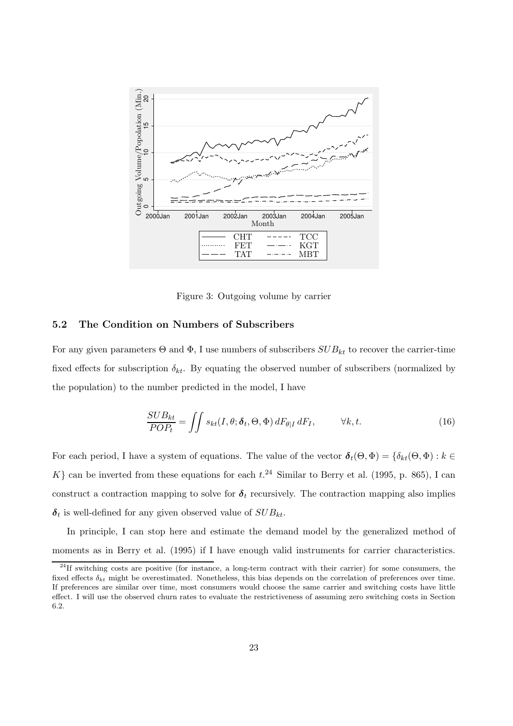

Figure 3: Outgoing volume by carrier

## 5.2 The Condition on Numbers of Subscribers

For any given parameters  $\Theta$  and  $\Phi$ , I use numbers of subscribers  $SUB_{kt}$  to recover the carrier-time fixed effects for subscription  $\delta_{kt}$ . By equating the observed number of subscribers (normalized by the population) to the number predicted in the model, I have

$$
\frac{SUB_{kt}}{POP_{t}} = \iint s_{kt}(I, \theta; \delta_t, \Theta, \Phi) dF_{\theta|I} dF_I, \qquad \forall k, t.
$$
 (16)

For each period, I have a system of equations. The value of the vector  $\delta_t(\Theta, \Phi) = \{\delta_{kt}(\Theta, \Phi) : k \in$ K} can be inverted from these equations for each  $t.^{24}$  Similar to Berry et al. (1995, p. 865), I can construct a contraction mapping to solve for  $\delta_t$  recursively. The contraction mapping also implies  $\delta_t$  is well-defined for any given observed value of  $SUB_{kt}$ .

In principle, I can stop here and estimate the demand model by the generalized method of moments as in Berry et al. (1995) if I have enough valid instruments for carrier characteristics.

 $^{24}$ If switching costs are positive (for instance, a long-term contract with their carrier) for some consumers, the fixed effects  $\delta_{kt}$  might be overestimated. Nonetheless, this bias depends on the correlation of preferences over time. If preferences are similar over time, most consumers would choose the same carrier and switching costs have little effect. I will use the observed churn rates to evaluate the restrictiveness of assuming zero switching costs in Section 6.2.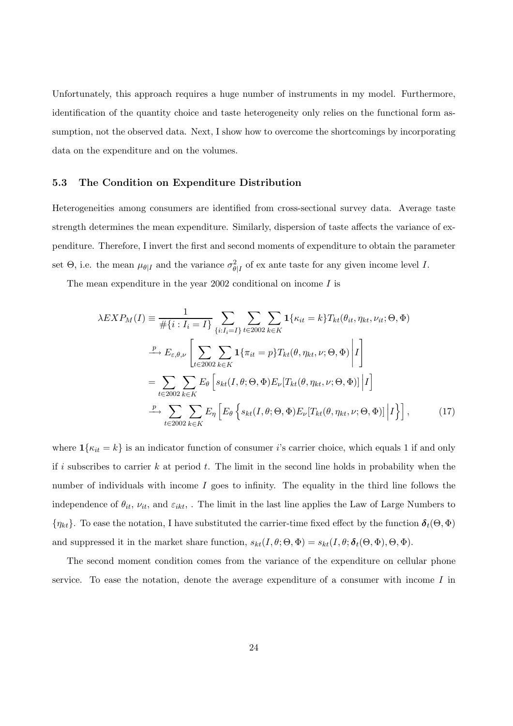Unfortunately, this approach requires a huge number of instruments in my model. Furthermore, identification of the quantity choice and taste heterogeneity only relies on the functional form assumption, not the observed data. Next, I show how to overcome the shortcomings by incorporating data on the expenditure and on the volumes.

#### 5.3 The Condition on Expenditure Distribution

Heterogeneities among consumers are identified from cross-sectional survey data. Average taste strength determines the mean expenditure. Similarly, dispersion of taste affects the variance of expenditure. Therefore, I invert the first and second moments of expenditure to obtain the parameter set  $\Theta$ , i.e. the mean  $\mu_{\theta|I}$  and the variance  $\sigma_{\theta|I}^2$  of ex ante taste for any given income level I.

The mean expenditure in the year 2002 conditional on income  $I$  is

$$
\lambda EXP_M(I) \equiv \frac{1}{\# \{i : I_i = I\}} \sum_{\{i : I_i = I\}} \sum_{t \in 2002} \sum_{k \in K} \mathbf{1} \{\kappa_{it} = k\} T_{kt}(\theta_{it}, \eta_{kt}, \nu_{it}; \Theta, \Phi)
$$
  
\n
$$
\xrightarrow{p} E_{\varepsilon, \theta, \nu} \left[ \sum_{t \in 2002} \sum_{k \in K} \mathbf{1} \{\pi_{it} = p\} T_{kt}(\theta, \eta_{kt}, \nu; \Theta, \Phi) \middle| I \right]
$$
  
\n
$$
= \sum_{t \in 2002} \sum_{k \in K} E_{\theta} \left[ s_{kt}(I, \theta; \Theta, \Phi) E_{\nu} [T_{kt}(\theta, \eta_{kt}, \nu; \Theta, \Phi)] \middle| I \right]
$$
  
\n
$$
\xrightarrow{p} \sum_{t \in 2002} \sum_{k \in K} E_{\eta} \left[ E_{\theta} \left\{ s_{kt}(I, \theta; \Theta, \Phi) E_{\nu} [T_{kt}(\theta, \eta_{kt}, \nu; \Theta, \Phi)] \middle| I \right\} \right], \tag{17}
$$

where  $\mathbf{1}{\kappa_{it} = k}$  is an indicator function of consumer *i*'s carrier choice, which equals 1 if and only if i subscribes to carrier  $k$  at period  $t$ . The limit in the second line holds in probability when the number of individuals with income  $I$  goes to infinity. The equality in the third line follows the independence of  $\theta_{it}$ ,  $\nu_{it}$ , and  $\varepsilon_{ikt}$ , . The limit in the last line applies the Law of Large Numbers to  ${\eta_{kt}}$ . To ease the notation, I have substituted the carrier-time fixed effect by the function  $\delta_t(\Theta, \Phi)$ and suppressed it in the market share function,  $s_{kt}(I, \theta; \Theta, \Phi) = s_{kt}(I, \theta; \delta_t(\Theta, \Phi), \Theta, \Phi)$ .

The second moment condition comes from the variance of the expenditure on cellular phone service. To ease the notation, denote the average expenditure of a consumer with income  $I$  in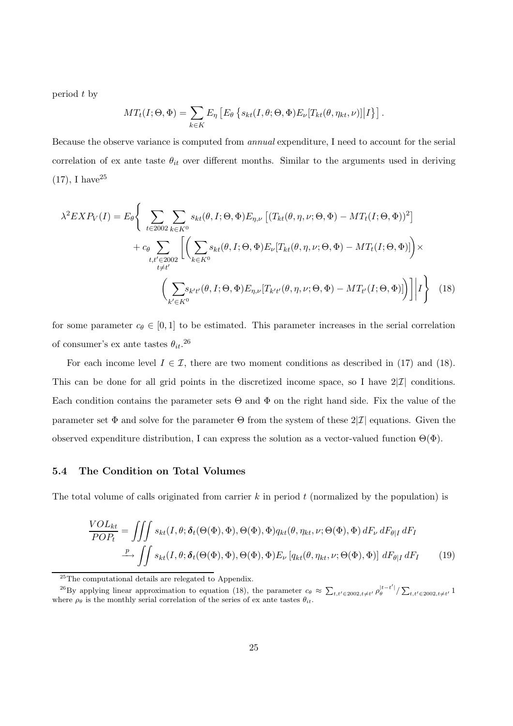period t by

$$
MT_t(I; \Theta, \Phi) = \sum_{k \in K} E_{\eta} \left[ E_{\theta} \left\{ s_{kt}(I, \theta; \Theta, \Phi) E_{\nu} [T_{kt}(\theta, \eta_{kt}, \nu)] \middle| I \right\} \right].
$$

Because the observe variance is computed from annual expenditure, I need to account for the serial correlation of ex ante taste  $\theta_{it}$  over different months. Similar to the arguments used in deriving  $(17)$ , I have<sup>25</sup>

$$
\lambda^2 EXP_V(I) = E_{\theta} \Bigg\{ \sum_{t \in 2002} \sum_{k \in K^0} s_{kt}(\theta, I; \Theta, \Phi) E_{\eta, \nu} \left[ (T_{kt}(\theta, \eta, \nu; \Theta, \Phi) - MT_t(I; \Theta, \Phi))^2 \right] + c_{\theta} \sum_{t, t' \in 2002} \left[ \left( \sum_{k \in K^0} s_{kt}(\theta, I; \Theta, \Phi) E_{\nu} [T_{kt}(\theta, \eta, \nu; \Theta, \Phi) - MT_t(I; \Theta, \Phi)] \right) \times \left( \sum_{t' \in K^0} s_{k't'}(\theta, I; \Theta, \Phi) E_{\eta, \nu} [T_{k't'}(\theta, \eta, \nu; \Theta, \Phi) - MT_{t'}(I; \Theta, \Phi)] \right) \Bigg| I \Bigg\} \tag{18}
$$

for some parameter  $c_{\theta} \in [0, 1]$  to be estimated. This parameter increases in the serial correlation of consumer's ex ante tastes  $\theta_{it}$ <sup>26</sup>

For each income level  $I \in \mathcal{I}$ , there are two moment conditions as described in (17) and (18). This can be done for all grid points in the discretized income space, so I have  $2|\mathcal{I}|$  conditions. Each condition contains the parameter sets  $\Theta$  and  $\Phi$  on the right hand side. Fix the value of the parameter set  $\Phi$  and solve for the parameter  $\Theta$  from the system of these  $2|\mathcal{I}|$  equations. Given the observed expenditure distribution, I can express the solution as a vector-valued function  $Θ(Φ)$ .

## 5.4 The Condition on Total Volumes

The total volume of calls originated from carrier  $k$  in period  $t$  (normalized by the population) is

$$
\frac{VOL_{kt}}{POP_{t}} = \iiint s_{kt}(I, \theta; \delta_{t}(\Theta(\Phi), \Phi), \Theta(\Phi), \Phi) q_{kt}(\theta, \eta_{kt}, \nu; \Theta(\Phi), \Phi) dF_{\nu} dF_{\theta|I} dF_{I}
$$
\n
$$
\xrightarrow{p} \iint s_{kt}(I, \theta; \delta_{t}(\Theta(\Phi), \Phi), \Theta(\Phi), \Phi) E_{\nu} [q_{kt}(\theta, \eta_{kt}, \nu; \Theta(\Phi), \Phi)] dF_{\theta|I} dF_{I} \qquad (19)
$$

<sup>25</sup>The computational details are relegated to Appendix.

<sup>&</sup>lt;sup>26</sup>By applying linear approximation to equation (18), the parameter  $c_{\theta} \approx \sum_{t,t'\in 2002, t\neq t'} \rho_{\theta}^{|t-t'|} / \sum_{t,t'\in 2002, t\neq t'} 1$ where  $\rho_{\theta}$  is the monthly serial correlation of the series of ex ante tastes  $\theta_{it}$ .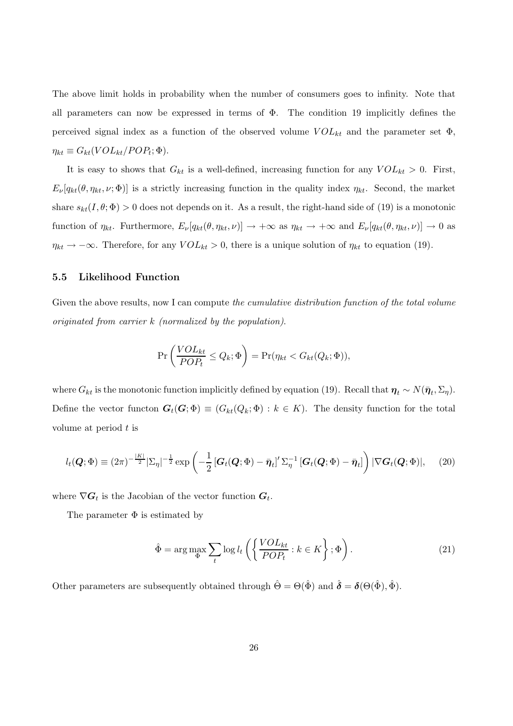The above limit holds in probability when the number of consumers goes to infinity. Note that all parameters can now be expressed in terms of  $\Phi$ . The condition 19 implicitly defines the perceived signal index as a function of the observed volume  $VOL_{kt}$  and the parameter set  $\Phi$ ,  $\eta_{kt} \equiv G_{kt}(VOL_{kt}/POP_t; \Phi).$ 

It is easy to shows that  $G_{kt}$  is a well-defined, increasing function for any  $VOL_{kt} > 0$ . First,  $E_{\nu}[q_{kt}(\theta, \eta_{kt}, \nu; \Phi)]$  is a strictly increasing function in the quality index  $\eta_{kt}$ . Second, the market share  $s_{kt}(I, \theta; \Phi) > 0$  does not depends on it. As a result, the right-hand side of (19) is a monotonic function of  $\eta_{kt}$ . Furthermore,  $E_{\nu}[q_{kt}(\theta, \eta_{kt}, \nu)] \rightarrow +\infty$  as  $\eta_{kt} \rightarrow +\infty$  and  $E_{\nu}[q_{kt}(\theta, \eta_{kt}, \nu)] \rightarrow 0$  as  $\eta_{kt} \to -\infty$ . Therefore, for any  $VOL_{kt} > 0$ , there is a unique solution of  $\eta_{kt}$  to equation (19).

## 5.5 Likelihood Function

Given the above results, now I can compute the *cumulative distribution function of the total volume* originated from carrier k (normalized by the population).

$$
\Pr\left(\frac{VOL_{kt}}{POP_t} \leq Q_k; \Phi\right) = \Pr(\eta_{kt} < G_{kt}(Q_k; \Phi)),
$$

where  $G_{kt}$  is the monotonic function implicitly defined by equation (19). Recall that  $\eta_t \sim N(\bar{\eta}_t, \Sigma_{\eta})$ . Define the vector functon  $G_t(G; \Phi) \equiv (G_{kt}(Q_k; \Phi) : k \in K)$ . The density function for the total volume at period  $t$  is

$$
l_t(\boldsymbol{Q};\boldsymbol{\Phi}) \equiv (2\pi)^{-\frac{|K|}{2}} |\Sigma_{\eta}|^{-\frac{1}{2}} \exp\left(-\frac{1}{2} \left[\boldsymbol{G}_t(\boldsymbol{Q};\boldsymbol{\Phi}) - \bar{\boldsymbol{\eta}}_t\right]' \Sigma_{\eta}^{-1} \left[\boldsymbol{G}_t(\boldsymbol{Q};\boldsymbol{\Phi}) - \bar{\boldsymbol{\eta}}_t\right]\right) |\nabla \boldsymbol{G}_t(\boldsymbol{Q};\boldsymbol{\Phi})|, \tag{20}
$$

where  $\nabla G_t$  is the Jacobian of the vector function  $G_t$ .

The parameter  $\Phi$  is estimated by

$$
\hat{\Phi} = \arg \max_{\Phi} \sum_{t} \log l_t \left( \left\{ \frac{VOL_{kt}}{POP_t} : k \in K \right\}; \Phi \right). \tag{21}
$$

Other parameters are subsequently obtained through  $\hat{\Theta} = \Theta(\hat{\Phi})$  and  $\hat{\delta} = \delta(\Theta(\hat{\Phi}), \hat{\Phi})$ .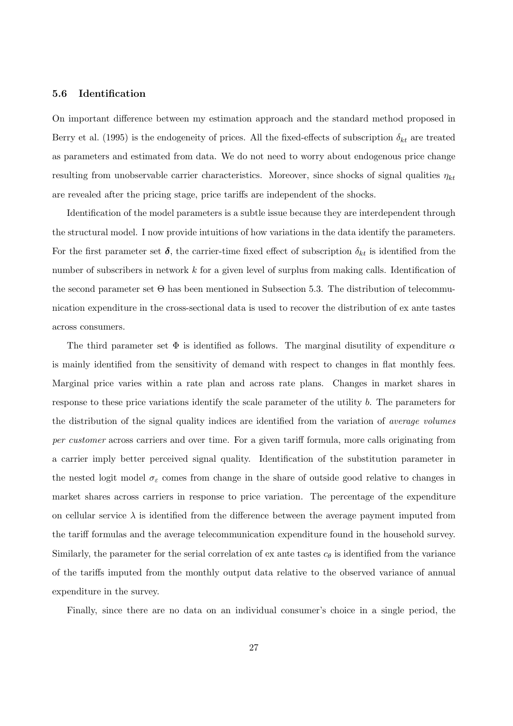#### 5.6 Identification

On important difference between my estimation approach and the standard method proposed in Berry et al. (1995) is the endogeneity of prices. All the fixed-effects of subscription  $\delta_{kt}$  are treated as parameters and estimated from data. We do not need to worry about endogenous price change resulting from unobservable carrier characteristics. Moreover, since shocks of signal qualities  $\eta_{kt}$ are revealed after the pricing stage, price tariffs are independent of the shocks.

Identification of the model parameters is a subtle issue because they are interdependent through the structural model. I now provide intuitions of how variations in the data identify the parameters. For the first parameter set  $\delta$ , the carrier-time fixed effect of subscription  $\delta_{kt}$  is identified from the number of subscribers in network k for a given level of surplus from making calls. Identification of the second parameter set  $\Theta$  has been mentioned in Subsection 5.3. The distribution of telecommunication expenditure in the cross-sectional data is used to recover the distribution of ex ante tastes across consumers.

The third parameter set  $\Phi$  is identified as follows. The marginal disutility of expenditure  $\alpha$ is mainly identified from the sensitivity of demand with respect to changes in flat monthly fees. Marginal price varies within a rate plan and across rate plans. Changes in market shares in response to these price variations identify the scale parameter of the utility b. The parameters for the distribution of the signal quality indices are identified from the variation of average volumes per customer across carriers and over time. For a given tariff formula, more calls originating from a carrier imply better perceived signal quality. Identification of the substitution parameter in the nested logit model  $\sigma_{\varepsilon}$  comes from change in the share of outside good relative to changes in market shares across carriers in response to price variation. The percentage of the expenditure on cellular service  $\lambda$  is identified from the difference between the average payment imputed from the tariff formulas and the average telecommunication expenditure found in the household survey. Similarly, the parameter for the serial correlation of ex ante tastes  $c_{\theta}$  is identified from the variance of the tariffs imputed from the monthly output data relative to the observed variance of annual expenditure in the survey.

Finally, since there are no data on an individual consumer's choice in a single period, the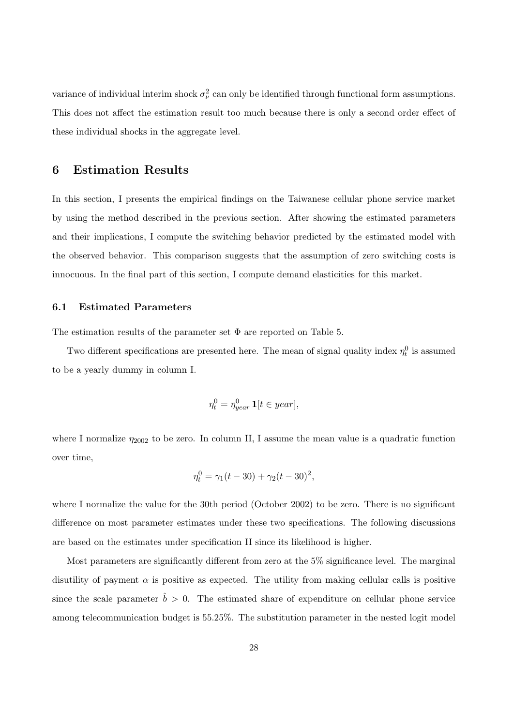variance of individual interim shock  $\sigma_{\nu}^2$  can only be identified through functional form assumptions. This does not affect the estimation result too much because there is only a second order effect of these individual shocks in the aggregate level.

## 6 Estimation Results

In this section, I presents the empirical findings on the Taiwanese cellular phone service market by using the method described in the previous section. After showing the estimated parameters and their implications, I compute the switching behavior predicted by the estimated model with the observed behavior. This comparison suggests that the assumption of zero switching costs is innocuous. In the final part of this section, I compute demand elasticities for this market.

#### 6.1 Estimated Parameters

The estimation results of the parameter set  $\Phi$  are reported on Table 5.

Two different specifications are presented here. The mean of signal quality index  $\eta_t^0$  is assumed to be a yearly dummy in column I.

$$
\eta_t^0 = \eta_{year}^0 \mathbf{1}[t \in year],
$$

where I normalize  $\eta_{2002}$  to be zero. In column II, I assume the mean value is a quadratic function over time,

$$
\eta_t^0 = \gamma_1(t - 30) + \gamma_2(t - 30)^2,
$$

where I normalize the value for the 30th period (October 2002) to be zero. There is no significant difference on most parameter estimates under these two specifications. The following discussions are based on the estimates under specification II since its likelihood is higher.

Most parameters are significantly different from zero at the 5% significance level. The marginal disutility of payment  $\alpha$  is positive as expected. The utility from making cellular calls is positive since the scale parameter  $\hat{b} > 0$ . The estimated share of expenditure on cellular phone service among telecommunication budget is 55.25%. The substitution parameter in the nested logit model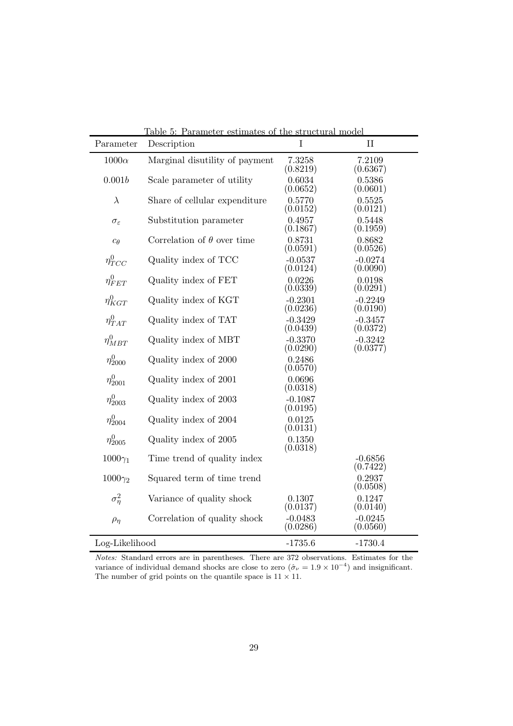| Parameter              | <u>Lable 5: Parameter estimates of the structural model</u><br>Description | I                     | $\mathbf{I}$          |
|------------------------|----------------------------------------------------------------------------|-----------------------|-----------------------|
| $1000\alpha$           | Marginal disutility of payment                                             | 7.3258<br>(0.8219)    | 7.2109<br>(0.6367)    |
| 0.001b                 | Scale parameter of utility                                                 | 0.6034<br>(0.0652)    | 0.5386<br>(0.0601)    |
| $\lambda$              | Share of cellular expenditure                                              | 0.5770<br>(0.0152)    | 0.5525<br>(0.0121)    |
| $\sigma_{\varepsilon}$ | Substitution parameter                                                     | 0.4957<br>(0.1867)    | 0.5448<br>(0.1959)    |
| $c_{\theta}$           | Correlation of $\theta$ over time                                          | 0.8731<br>(0.0591)    | 0.8682<br>(0.0526)    |
| $\eta_{TCC}^0$         | Quality index of TCC                                                       | $-0.0537$<br>(0.0124) | $-0.0274$<br>(0.0090) |
| $\eta_{FET}^0$         | Quality index of FET                                                       | 0.0226<br>(0.0339)    | 0.0198<br>(0.0291)    |
| $\eta_{KGT}^0$         | Quality index of KGT                                                       | $-0.2301$<br>(0.0236) | $-0.2249$<br>(0.0190) |
| $\eta_{TAT}^0$         | Quality index of TAT                                                       | $-0.3429$<br>(0.0439) | $-0.3457$<br>(0.0372) |
| $\eta_{MBT}^0$         | Quality index of MBT                                                       | $-0.3370$<br>(0.0290) | $-0.3242$<br>(0.0377) |
| $\eta_{2000}^{0}$      | Quality index of 2000                                                      | 0.2486<br>(0.0570)    |                       |
| $\eta_{2001}^0$        | Quality index of 2001                                                      | 0.0696<br>(0.0318)    |                       |
| $\eta_{2003}^{0}$      | Quality index of 2003                                                      | $-0.1087$<br>(0.0195) |                       |
| $\eta_{2004}^{0}$      | Quality index of 2004                                                      | 0.0125<br>(0.0131)    |                       |
| $\eta_{2005}^{0}$      | Quality index of 2005                                                      | 0.1350<br>(0.0318)    |                       |
| $1000\gamma_1$         | Time trend of quality index                                                |                       | $-0.6856$<br>(0.7422) |
| $1000\gamma_2$         | Squared term of time trend                                                 |                       | 0.2937<br>(0.0508)    |
| $\sigma_n^2$           | Variance of quality shock                                                  | 0.1307<br>(0.0137)    | 0.1247<br>(0.0140)    |
| $\rho_{\eta}$          | Correlation of quality shock                                               | $-0.0483$<br>(0.0286) | $-0.0245$<br>(0.0560) |
| Log-Likelihood         |                                                                            | $-1735.6$             | $-1730.4$             |

Table 5: Parameter estimates of the structural model

Notes: Standard errors are in parentheses. There are 372 observations. Estimates for the variance of individual demand shocks are close to zero  $(\hat{\sigma}_{\nu} = 1.9 \times 10^{-4})$  and insignificant. The number of grid points on the quantile space is 11  $\times$  11.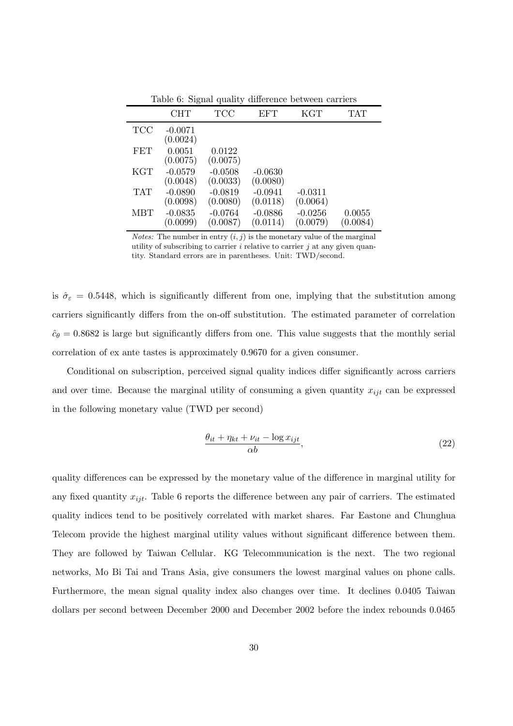|                | . .                   |       |     |     |            |
|----------------|-----------------------|-------|-----|-----|------------|
|                | <b>CHT</b>            | - TCC | EFT | KGT | <b>TAT</b> |
| $\mathrm{TCC}$ | $-0.0071$<br>(0.0024) |       |     |     |            |

Table 6: Signal quality difference between carriers

|            | (0.0024)  |           |           |           |          |
|------------|-----------|-----------|-----------|-----------|----------|
| <b>FET</b> | 0.0051    | 0.0122    |           |           |          |
|            | (0.0075)  | (0.0075)  |           |           |          |
| <b>KGT</b> | $-0.0579$ | $-0.0508$ | $-0.0630$ |           |          |
|            | (0.0048)  | (0.0033)  | (0.0080)  |           |          |
| <b>TAT</b> | $-0.0890$ | $-0.0819$ | $-0.0941$ | $-0.0311$ |          |
|            | (0.0098)  | (0.0080)  | (0.0118)  | (0.0064)  |          |
| <b>MBT</b> | $-0.0835$ | $-0.0764$ | $-0.0886$ | $-0.0256$ | 0.0055   |
|            | (0.0099)  | (0.0087)  | (0.0114)  | (0.0079)  | (0.0084) |

*Notes:* The number in entry  $(i, j)$  is the monetary value of the marginal utility of subscribing to carrier  $i$  relative to carrier  $j$  at any given quantity. Standard errors are in parentheses. Unit: TWD/second.

is  $\hat{\sigma}_{\epsilon} = 0.5448$ , which is significantly different from one, implying that the substitution among carriers significantly differs from the on-off substitution. The estimated parameter of correlation  $\hat{c}_{\theta} = 0.8682$  is large but significantly differs from one. This value suggests that the monthly serial correlation of ex ante tastes is approximately 0.9670 for a given consumer.

Conditional on subscription, perceived signal quality indices differ significantly across carriers and over time. Because the marginal utility of consuming a given quantity  $x_{ijt}$  can be expressed in the following monetary value (TWD per second)

$$
\frac{\theta_{it} + \eta_{kt} + \nu_{it} - \log x_{ijt}}{\alpha b},\tag{22}
$$

quality differences can be expressed by the monetary value of the difference in marginal utility for any fixed quantity  $x_{ijt}$ . Table 6 reports the difference between any pair of carriers. The estimated quality indices tend to be positively correlated with market shares. Far Eastone and Chunghua Telecom provide the highest marginal utility values without significant difference between them. They are followed by Taiwan Cellular. KG Telecommunication is the next. The two regional networks, Mo Bi Tai and Trans Asia, give consumers the lowest marginal values on phone calls. Furthermore, the mean signal quality index also changes over time. It declines 0.0405 Taiwan dollars per second between December 2000 and December 2002 before the index rebounds 0.0465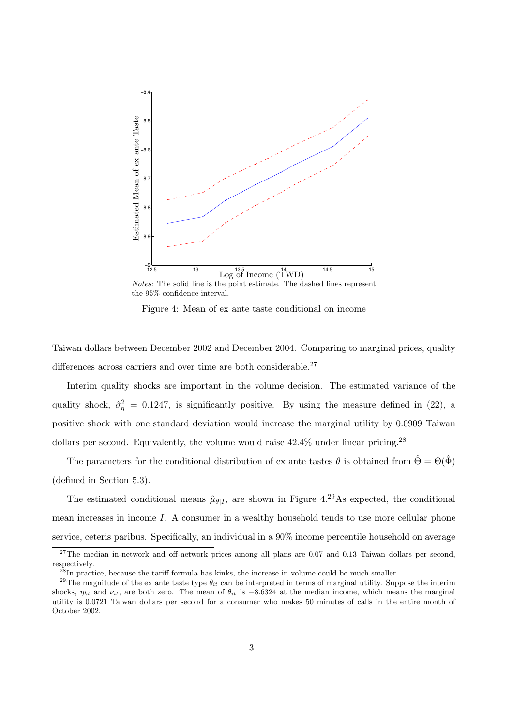

Notes: The solid line is the point estimate. The dashed lines represent the 95% confidence interval.

Figure 4: Mean of ex ante taste conditional on income

Taiwan dollars between December 2002 and December 2004. Comparing to marginal prices, quality differences across carriers and over time are both considerable.<sup>27</sup>

Interim quality shocks are important in the volume decision. The estimated variance of the quality shock,  $\hat{\sigma}_{\eta}^2 = 0.1247$ , is significantly positive. By using the measure defined in (22), a positive shock with one standard deviation would increase the marginal utility by 0.0909 Taiwan dollars per second. Equivalently, the volume would raise  $42.4\%$  under linear pricing.<sup>28</sup>

The parameters for the conditional distribution of ex ante tastes  $\theta$  is obtained from  $\hat{\Theta} = \Theta(\hat{\Phi})$ (defined in Section 5.3).

The estimated conditional means  $\hat{\mu}_{\theta|I}$ , are shown in Figure 4.<sup>29</sup>As expected, the conditional mean increases in income I. A consumer in a wealthy household tends to use more cellular phone service, ceteris paribus. Specifically, an individual in a 90% income percentile household on average

 $^{27}$ The median in-network and off-network prices among all plans are 0.07 and 0.13 Taiwan dollars per second, respectively.

<sup>28</sup>In practice, because the tariff formula has kinks, the increase in volume could be much smaller.

<sup>&</sup>lt;sup>29</sup>The magnitude of the ex ante taste type  $\theta_{it}$  can be interpreted in terms of marginal utility. Suppose the interim shocks,  $\eta_{kt}$  and  $\nu_{it}$ , are both zero. The mean of  $\theta_{it}$  is  $-8.6324$  at the median income, which means the marginal utility is 0.0721 Taiwan dollars per second for a consumer who makes 50 minutes of calls in the entire month of October 2002.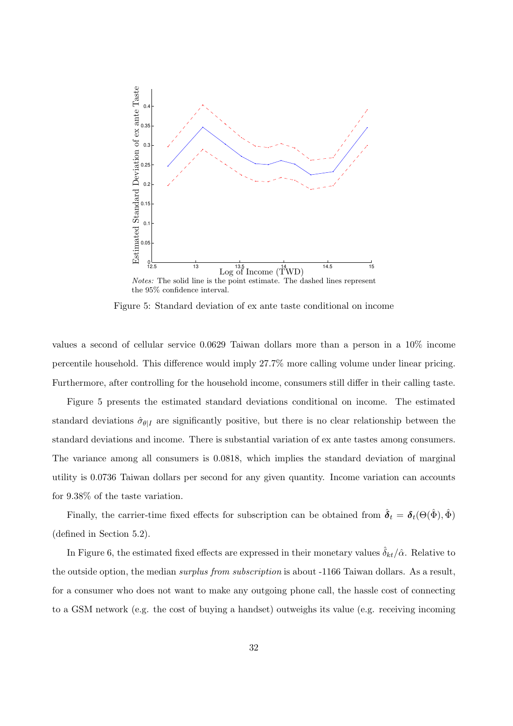

Figure 5: Standard deviation of ex ante taste conditional on income

values a second of cellular service 0.0629 Taiwan dollars more than a person in a 10% income percentile household. This difference would imply 27.7% more calling volume under linear pricing. Furthermore, after controlling for the household income, consumers still differ in their calling taste.

Figure 5 presents the estimated standard deviations conditional on income. The estimated standard deviations  $\hat{\sigma}_{\theta|I}$  are significantly positive, but there is no clear relationship between the standard deviations and income. There is substantial variation of ex ante tastes among consumers. The variance among all consumers is 0.0818, which implies the standard deviation of marginal utility is 0.0736 Taiwan dollars per second for any given quantity. Income variation can accounts for 9.38% of the taste variation.

Finally, the carrier-time fixed effects for subscription can be obtained from  $\hat{\boldsymbol{\delta}}_t = \boldsymbol{\delta}_t(\Theta(\hat{\Phi}), \hat{\Phi})$ (defined in Section 5.2).

In Figure 6, the estimated fixed effects are expressed in their monetary values  $\delta_{kt}/\hat{\alpha}$ . Relative to the outside option, the median *surplus from subscription* is about -1166 Taiwan dollars. As a result, for a consumer who does not want to make any outgoing phone call, the hassle cost of connecting to a GSM network (e.g. the cost of buying a handset) outweighs its value (e.g. receiving incoming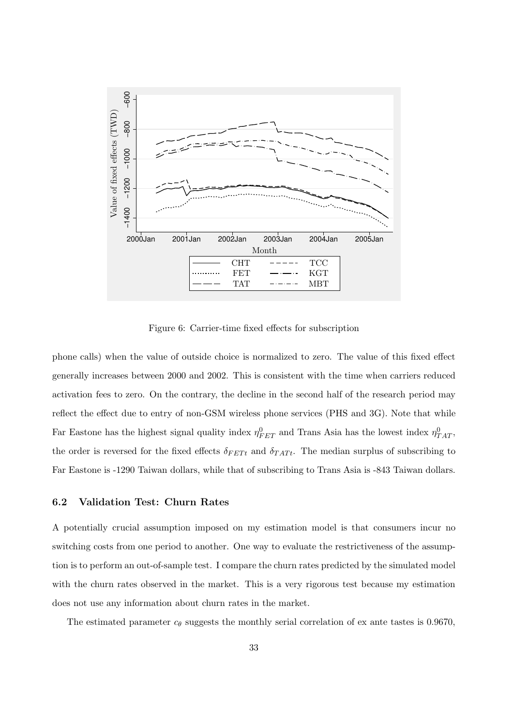

Figure 6: Carrier-time fixed effects for subscription

phone calls) when the value of outside choice is normalized to zero. The value of this fixed effect generally increases between 2000 and 2002. This is consistent with the time when carriers reduced activation fees to zero. On the contrary, the decline in the second half of the research period may reflect the effect due to entry of non-GSM wireless phone services (PHS and 3G). Note that while Far Eastone has the highest signal quality index  $\eta_{FET}^0$  and Trans Asia has the lowest index  $\eta_{TAT}^0$ , the order is reversed for the fixed effects  $\delta_{FETt}$  and  $\delta_{TATt}$ . The median surplus of subscribing to Far Eastone is -1290 Taiwan dollars, while that of subscribing to Trans Asia is -843 Taiwan dollars.

## 6.2 Validation Test: Churn Rates

A potentially crucial assumption imposed on my estimation model is that consumers incur no switching costs from one period to another. One way to evaluate the restrictiveness of the assumption is to perform an out-of-sample test. I compare the churn rates predicted by the simulated model with the churn rates observed in the market. This is a very rigorous test because my estimation does not use any information about churn rates in the market.

The estimated parameter  $c_{\theta}$  suggests the monthly serial correlation of ex ante tastes is 0.9670,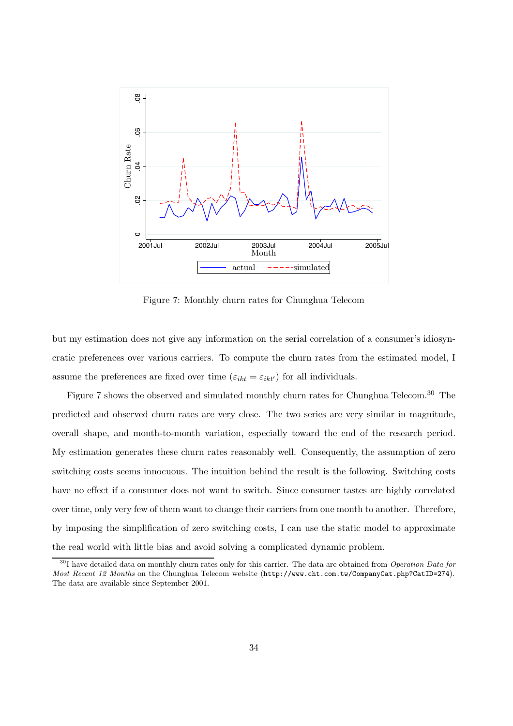

Figure 7: Monthly churn rates for Chunghua Telecom

but my estimation does not give any information on the serial correlation of a consumer's idiosyncratic preferences over various carriers. To compute the churn rates from the estimated model, I assume the preferences are fixed over time  $(\varepsilon_{ikt} = \varepsilon_{ikt'})$  for all individuals.

Figure 7 shows the observed and simulated monthly churn rates for Chunghua Telecom.<sup>30</sup> The predicted and observed churn rates are very close. The two series are very similar in magnitude, overall shape, and month-to-month variation, especially toward the end of the research period. My estimation generates these churn rates reasonably well. Consequently, the assumption of zero switching costs seems innocuous. The intuition behind the result is the following. Switching costs have no effect if a consumer does not want to switch. Since consumer tastes are highly correlated over time, only very few of them want to change their carriers from one month to another. Therefore, by imposing the simplification of zero switching costs, I can use the static model to approximate the real world with little bias and avoid solving a complicated dynamic problem.

<sup>&</sup>lt;sup>30</sup>I have detailed data on monthly churn rates only for this carrier. The data are obtained from *Operation Data for* Most Recent 12 Months on the Chunghua Telecom website (http://www.cht.com.tw/CompanyCat.php?CatID=274). The data are available since September 2001.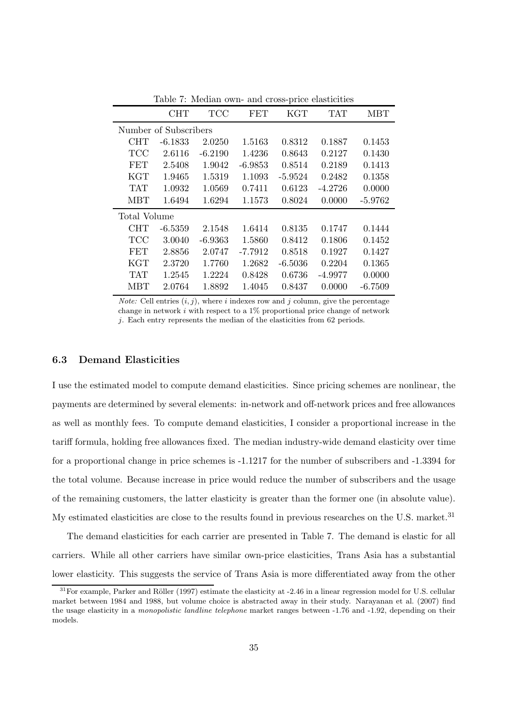|                | <b>CHT</b>            | TCC       | FET       | KGT       | <b>TAT</b> | <b>MBT</b> |
|----------------|-----------------------|-----------|-----------|-----------|------------|------------|
|                | Number of Subscribers |           |           |           |            |            |
| CHT            | $-6.1833$             | 2.0250    | 1.5163    | 0.8312    | 0.1887     | 0.1453     |
| TCC            | 2.6116                | $-6.2190$ | 1.4236    | 0.8643    | 0.2127     | 0.1430     |
| <b>FET</b>     | 2.5408                | 1.9042    | $-6.9853$ | 0.8514    | 0.2189     | 0.1413     |
| <b>KGT</b>     | 1.9465                | 1.5319    | 1.1093    | $-5.9524$ | 0.2482     | 0.1358     |
| <b>TAT</b>     | 1.0932                | 1.0569    | 0.7411    | 0.6123    | $-4.2726$  | 0.0000     |
| <b>MBT</b>     | 1.6494                | 1.6294    | 1.1573    | 0.8024    | 0.0000     | $-5.9762$  |
| Total Volume   |                       |           |           |           |            |            |
| CHT            | $-6.5359$             | 2.1548    | 1.6414    | 0.8135    | 0.1747     | 0.1444     |
| $\mathrm{TCC}$ | 3.0040                | $-6.9363$ | 1.5860    | 0.8412    | 0.1806     | 0.1452     |
| <b>FET</b>     | 2.8856                | 2.0747    | $-7.7912$ | 0.8518    | 0.1927     | 0.1427     |
| KGT            | 2.3720                | 1.7760    | 1.2682    | $-6.5036$ | 0.2204     | 0.1365     |
| <b>TAT</b>     | 1.2545                | 1.2224    | 0.8428    | 0.6736    | $-4.9977$  | 0.0000     |
| MBT            | 2.0764                | 1.8892    | 1.4045    | 0.8437    | 0.0000     | $-6.7509$  |
|                |                       |           |           |           |            |            |

Table 7: Median own- and cross-price elasticities

*Note:* Cell entries  $(i, j)$ , where i indexes row and j column, give the percentage change in network  $i$  with respect to a  $1\%$  proportional price change of network j. Each entry represents the median of the elasticities from 62 periods.

#### 6.3 Demand Elasticities

I use the estimated model to compute demand elasticities. Since pricing schemes are nonlinear, the payments are determined by several elements: in-network and off-network prices and free allowances as well as monthly fees. To compute demand elasticities, I consider a proportional increase in the tariff formula, holding free allowances fixed. The median industry-wide demand elasticity over time for a proportional change in price schemes is -1.1217 for the number of subscribers and -1.3394 for the total volume. Because increase in price would reduce the number of subscribers and the usage of the remaining customers, the latter elasticity is greater than the former one (in absolute value). My estimated elasticities are close to the results found in previous researches on the U.S. market.<sup>31</sup>

The demand elasticities for each carrier are presented in Table 7. The demand is elastic for all carriers. While all other carriers have similar own-price elasticities, Trans Asia has a substantial lower elasticity. This suggests the service of Trans Asia is more differentiated away from the other

 $31$  For example, Parker and Röller (1997) estimate the elasticity at -2.46 in a linear regression model for U.S. cellular market between 1984 and 1988, but volume choice is abstracted away in their study. Narayanan et al. (2007) find the usage elasticity in a monopolistic landline telephone market ranges between -1.76 and -1.92, depending on their models.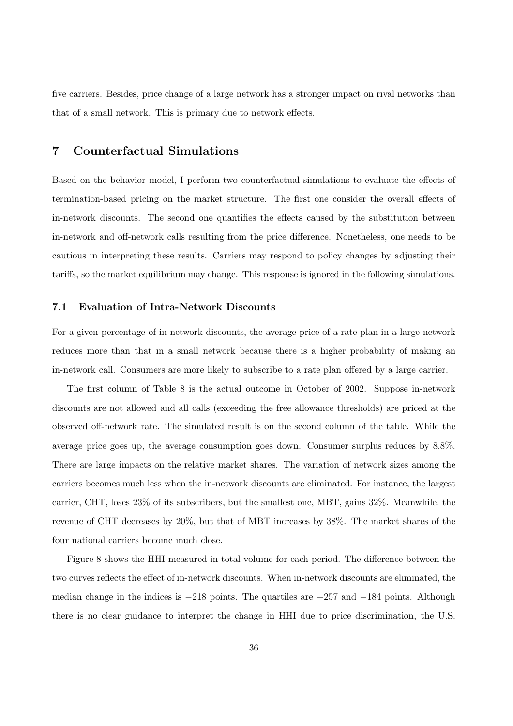five carriers. Besides, price change of a large network has a stronger impact on rival networks than that of a small network. This is primary due to network effects.

# 7 Counterfactual Simulations

Based on the behavior model, I perform two counterfactual simulations to evaluate the effects of termination-based pricing on the market structure. The first one consider the overall effects of in-network discounts. The second one quantifies the effects caused by the substitution between in-network and off-network calls resulting from the price difference. Nonetheless, one needs to be cautious in interpreting these results. Carriers may respond to policy changes by adjusting their tariffs, so the market equilibrium may change. This response is ignored in the following simulations.

#### 7.1 Evaluation of Intra-Network Discounts

For a given percentage of in-network discounts, the average price of a rate plan in a large network reduces more than that in a small network because there is a higher probability of making an in-network call. Consumers are more likely to subscribe to a rate plan offered by a large carrier.

The first column of Table 8 is the actual outcome in October of 2002. Suppose in-network discounts are not allowed and all calls (exceeding the free allowance thresholds) are priced at the observed off-network rate. The simulated result is on the second column of the table. While the average price goes up, the average consumption goes down. Consumer surplus reduces by 8.8%. There are large impacts on the relative market shares. The variation of network sizes among the carriers becomes much less when the in-network discounts are eliminated. For instance, the largest carrier, CHT, loses 23% of its subscribers, but the smallest one, MBT, gains 32%. Meanwhile, the revenue of CHT decreases by 20%, but that of MBT increases by 38%. The market shares of the four national carriers become much close.

Figure 8 shows the HHI measured in total volume for each period. The difference between the two curves reflects the effect of in-network discounts. When in-network discounts are eliminated, the median change in the indices is −218 points. The quartiles are −257 and −184 points. Although there is no clear guidance to interpret the change in HHI due to price discrimination, the U.S.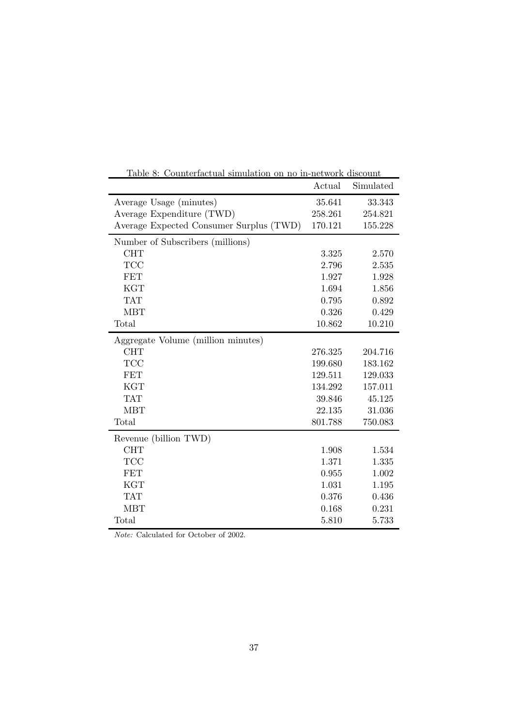| Table 8: Counterfactual simulation on no in-network discount |         |           |  |  |  |
|--------------------------------------------------------------|---------|-----------|--|--|--|
|                                                              | Actual  | Simulated |  |  |  |
| Average Usage (minutes)                                      | 35.641  | 33.343    |  |  |  |
| Average Expenditure (TWD)                                    | 258.261 | 254.821   |  |  |  |
| Average Expected Consumer Surplus (TWD)                      | 170.121 | 155.228   |  |  |  |
| Number of Subscribers (millions)                             |         |           |  |  |  |
| <b>CHT</b>                                                   | 3.325   | 2.570     |  |  |  |
| <b>TCC</b>                                                   | 2.796   | 2.535     |  |  |  |
| <b>FET</b>                                                   | 1.927   | 1.928     |  |  |  |
| <b>KGT</b>                                                   | 1.694   | 1.856     |  |  |  |
| <b>TAT</b>                                                   | 0.795   | 0.892     |  |  |  |
| <b>MBT</b>                                                   | 0.326   | 0.429     |  |  |  |
| Total                                                        | 10.862  | 10.210    |  |  |  |
| Aggregate Volume (million minutes)                           |         |           |  |  |  |
| <b>CHT</b>                                                   | 276.325 | 204.716   |  |  |  |
| <b>TCC</b>                                                   | 199.680 | 183.162   |  |  |  |
| <b>FET</b>                                                   | 129.511 | 129.033   |  |  |  |
| <b>KGT</b>                                                   | 134.292 | 157.011   |  |  |  |
| <b>TAT</b>                                                   | 39.846  | 45.125    |  |  |  |
| <b>MBT</b>                                                   | 22.135  | 31.036    |  |  |  |
| Total                                                        | 801.788 | 750.083   |  |  |  |
| Revenue (billion TWD)                                        |         |           |  |  |  |
| <b>CHT</b>                                                   | 1.908   | 1.534     |  |  |  |
| <b>TCC</b>                                                   | 1.371   | 1.335     |  |  |  |
| <b>FET</b>                                                   | 0.955   | 1.002     |  |  |  |
| <b>KGT</b>                                                   | 1.031   | 1.195     |  |  |  |
| <b>TAT</b>                                                   | 0.376   | 0.436     |  |  |  |
| <b>MBT</b>                                                   | 0.168   | 0.231     |  |  |  |
| Total                                                        | 5.810   | 5.733     |  |  |  |

Note: Calculated for October of 2002.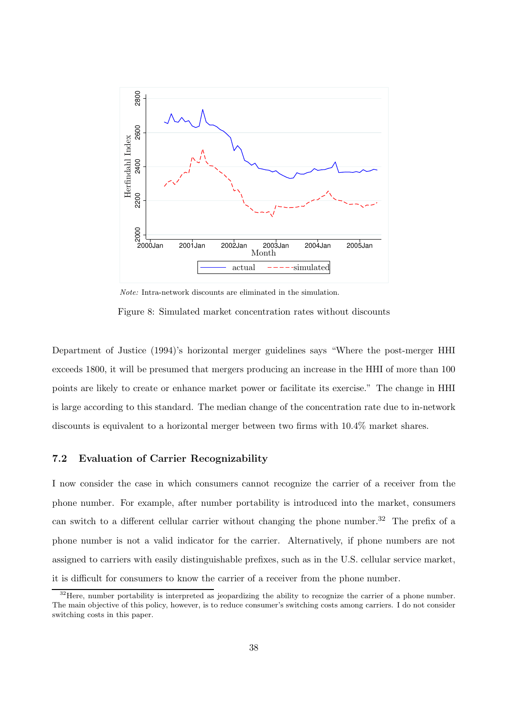

Note: Intra-network discounts are eliminated in the simulation.

Figure 8: Simulated market concentration rates without discounts

Department of Justice (1994)'s horizontal merger guidelines says "Where the post-merger HHI exceeds 1800, it will be presumed that mergers producing an increase in the HHI of more than 100 points are likely to create or enhance market power or facilitate its exercise." The change in HHI is large according to this standard. The median change of the concentration rate due to in-network discounts is equivalent to a horizontal merger between two firms with 10.4% market shares.

## 7.2 Evaluation of Carrier Recognizability

I now consider the case in which consumers cannot recognize the carrier of a receiver from the phone number. For example, after number portability is introduced into the market, consumers can switch to a different cellular carrier without changing the phone number.<sup>32</sup> The prefix of a phone number is not a valid indicator for the carrier. Alternatively, if phone numbers are not assigned to carriers with easily distinguishable prefixes, such as in the U.S. cellular service market, it is difficult for consumers to know the carrier of a receiver from the phone number.

<sup>&</sup>lt;sup>32</sup>Here, number portability is interpreted as jeopardizing the ability to recognize the carrier of a phone number. The main objective of this policy, however, is to reduce consumer's switching costs among carriers. I do not consider switching costs in this paper.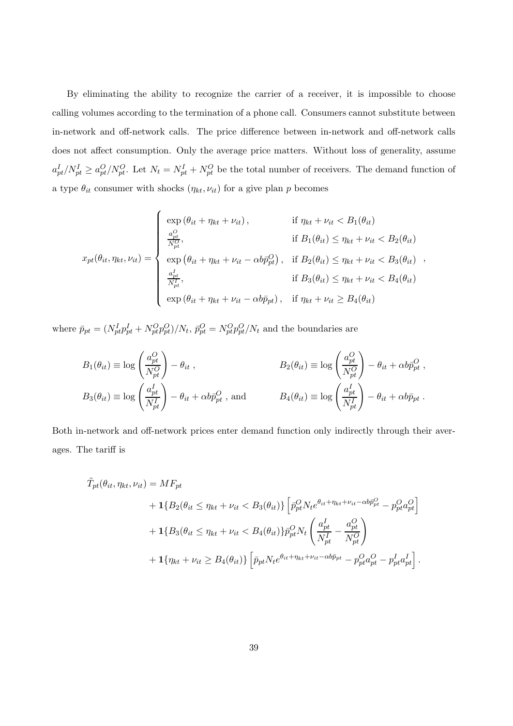By eliminating the ability to recognize the carrier of a receiver, it is impossible to choose calling volumes according to the termination of a phone call. Consumers cannot substitute between in-network and off-network calls. The price difference between in-network and off-network calls does not affect consumption. Only the average price matters. Without loss of generality, assume  $a_{pt}^I/N_{pt}^I \ge a_{pt}^O/N_{pt}^O$ . Let  $N_t = N_{pt}^I + N_{pt}^O$  be the total number of receivers. The demand function of a type  $\theta_{it}$  consumer with shocks  $(\eta_{kt}, \nu_{it})$  for a give plan  $p$  becomes

$$
x_{pt}(\theta_{it}, \eta_{kt}, \nu_{it}) = \begin{cases} \exp(\theta_{it} + \eta_{kt} + \nu_{it}), & \text{if } \eta_{kt} + \nu_{it} < B_1(\theta_{it}) \\ \frac{a_{pt}^O}{N_{pt}^O}, & \text{if } B_1(\theta_{it}) \leq \eta_{kt} + \nu_{it} < B_2(\theta_{it}) \\ \exp(\theta_{it} + \eta_{kt} + \nu_{it} - \alpha b \bar{p}_{pt}^O), & \text{if } B_2(\theta_{it}) \leq \eta_{kt} + \nu_{it} < B_3(\theta_{it}) \\ \frac{a_{pt}^I}{N_{pt}^I}, & \text{if } B_3(\theta_{it}) \leq \eta_{kt} + \nu_{it} < B_4(\theta_{it}) \\ \exp(\theta_{it} + \eta_{kt} + \nu_{it} - \alpha b \bar{p}_{pt}), & \text{if } \eta_{kt} + \nu_{it} \geq B_4(\theta_{it}) \end{cases}
$$

where  $\bar{p}_{pt} = (N_{pt}^I p_{pt}^I + N_{pt}^O p_{pt}^O) / N_t$ ,  $\bar{p}_{pt}^O = N_{pt}^O p_{pt}^O / N_t$  and the boundaries are

$$
B_1(\theta_{it}) \equiv \log \left(\frac{a_{pt}^O}{N_{pt}^O}\right) - \theta_{it} ,
$$
  
\n
$$
B_2(\theta_{it}) \equiv \log \left(\frac{a_{pt}^O}{N_{pt}^O}\right) - \theta_{it} + \alpha b \bar{p}_{pt}^O ,
$$
  
\n
$$
B_3(\theta_{it}) \equiv \log \left(\frac{a_{pt}^I}{N_{pt}^I}\right) - \theta_{it} + \alpha b \bar{p}_{pt}^O ,
$$
 and 
$$
B_4(\theta_{it}) \equiv \log \left(\frac{a_{pt}^I}{N_{pt}^I}\right) - \theta_{it} + \alpha b \bar{p}_{pt} .
$$

Both in-network and off-network prices enter demand function only indirectly through their averages. The tariff is

$$
\tilde{T}_{pt}(\theta_{it}, \eta_{kt}, \nu_{it}) = MF_{pt} \n+ \mathbf{1} \{ B_2(\theta_{it} \leq \eta_{kt} + \nu_{it} < B_3(\theta_{it}) \} \left[ \bar{p}_{pt}^O N_t e^{\theta_{it} + \eta_{kt} + \nu_{it} - \alpha b \bar{p}_{pt}^O} - p_{pt}^O a_{pt}^O \right] \n+ \mathbf{1} \{ B_3(\theta_{it} \leq \eta_{kt} + \nu_{it} < B_4(\theta_{it}) \} \bar{p}_{pt}^O N_t \left( \frac{a_{pt}^I}{N_{pt}^I} - \frac{a_{pt}^O}{N_{pt}^O} \right) \n+ \mathbf{1} \{ \eta_{kt} + \nu_{it} \geq B_4(\theta_{it}) \} \left[ \bar{p}_{pt} N_t e^{\theta_{it} + \eta_{kt} + \nu_{it} - \alpha b \bar{p}_{pt}} - p_{pt}^O a_{pt}^O - p_{pt}^I a_{pt}^I \right].
$$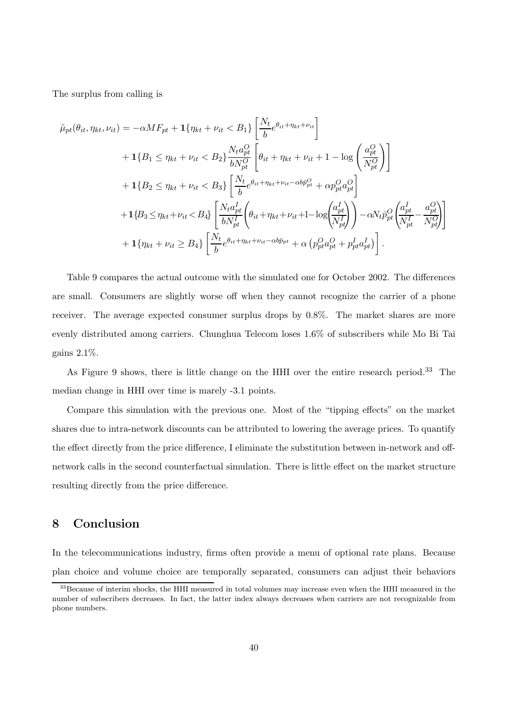The surplus from calling is

$$
\tilde{\mu}_{pt}(\theta_{it}, \eta_{kt}, \nu_{it}) = -\alpha M F_{pt} + \mathbf{1} \{ \eta_{kt} + \nu_{it} < B_1 \} \left[ \frac{N_t}{b} e^{\theta_{it} + \eta_{kt} + \nu_{it}} \right] \n+ \mathbf{1} \{ B_1 \le \eta_{kt} + \nu_{it} < B_2 \} \frac{N_t a_{pt}^O}{b N_{pt}^O} \left[ \theta_{it} + \eta_{kt} + \nu_{it} + 1 - \log \left( \frac{a_{pt}^O}{N_{pt}^O} \right) \right] \n+ \mathbf{1} \{ B_2 \le \eta_{kt} + \nu_{it} < B_3 \} \left[ \frac{N_t}{b} e^{\theta_{it} + \eta_{kt} + \nu_{it} - \alpha b \bar{p}_{pt}^O} + \alpha p_{pt}^O a_{pt}^O \right] \n+ \mathbf{1} \{ B_3 \le \eta_{kt} + \nu_{it} < B_4 \} \left[ \frac{N_t a_{pt}^I}{b N_{pt}^I} \left( \theta_{it} + \eta_{kt} + \nu_{it} + 1 - \log \left( \frac{a_{pt}^I}{N_{pt}^I} \right) \right) - \alpha N_t \bar{p}_{pt}^O \left( \frac{a_{pt}^I}{N_{pt}^I} - \frac{a_{pt}^O}{N_{pt}^O} \right) \right] \n+ \mathbf{1} \{ \eta_{kt} + \nu_{it} \ge B_4 \} \left[ \frac{N_t}{b} e^{\theta_{it} + \eta_{kt} + \nu_{it} - \alpha b \bar{p}_{pt}} + \alpha \left( p_{pt}^O a_{pt}^O + p_{pt}^I a_{pt}^I \right) \right].
$$

Table 9 compares the actual outcome with the simulated one for October 2002. The differences are small. Consumers are slightly worse off when they cannot recognize the carrier of a phone receiver. The average expected consumer surplus drops by 0.8%. The market shares are more evenly distributed among carriers. Chunghua Telecom loses 1.6% of subscribers while Mo Bi Tai gains 2.1%.

As Figure 9 shows, there is little change on the HHI over the entire research period.<sup>33</sup> The median change in HHI over time is marely -3.1 points.

Compare this simulation with the previous one. Most of the "tipping effects" on the market shares due to intra-network discounts can be attributed to lowering the average prices. To quantify the effect directly from the price difference, I eliminate the substitution between in-network and offnetwork calls in the second counterfactual simulation. There is little effect on the market structure resulting directly from the price difference.

# 8 Conclusion

In the telecommunications industry, firms often provide a menu of optional rate plans. Because plan choice and volume choice are temporally separated, consumers can adjust their behaviors

<sup>&</sup>lt;sup>33</sup> Because of interim shocks, the HHI measured in total volumes may increase even when the HHI measured in the number of subscribers decreases. In fact, the latter index always decreases when carriers are not recognizable from phone numbers.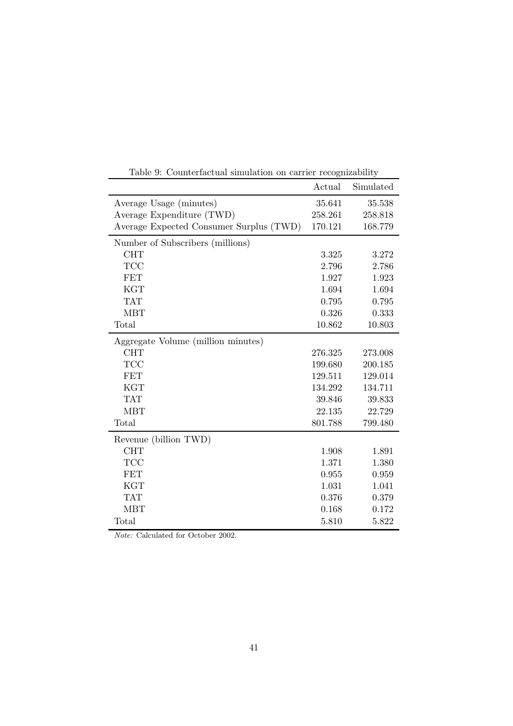|                                         | Actual  | Simulated |
|-----------------------------------------|---------|-----------|
| Average Usage (minutes)                 | 35.641  | 35.538    |
| Average Expenditure (TWD)               | 258.261 | 258.818   |
| Average Expected Consumer Surplus (TWD) | 170.121 | 168.779   |
| Number of Subscribers (millions)        |         |           |
| <b>CHT</b>                              | 3.325   | 3.272     |
| <b>TCC</b>                              | 2.796   | 2.786     |
| <b>FET</b>                              | 1.927   | 1.923     |
| <b>KGT</b>                              | 1.694   | 1.694     |
| <b>TAT</b>                              | 0.795   | 0.795     |
| <b>MBT</b>                              | 0.326   | 0.333     |
| Total                                   | 10.862  | 10.803    |
| Aggregate Volume (million minutes)      |         |           |
| <b>CHT</b>                              | 276.325 | 273.008   |
| <b>TCC</b>                              | 199.680 | 200.185   |
| <b>FET</b>                              | 129.511 | 129.014   |
| <b>KGT</b>                              | 134.292 | 134.711   |
| <b>TAT</b>                              | 39.846  | 39.833    |
| <b>MBT</b>                              | 22.135  | 22.729    |
| Total                                   | 801.788 | 799.480   |
| Revenue (billion TWD)                   |         |           |
| <b>CHT</b>                              | 1.908   | 1.891     |
| <b>TCC</b>                              | 1.371   | 1.380     |
| <b>FET</b>                              | 0.955   | 0.959     |
| <b>KGT</b>                              | 1.031   | 1.041     |
| <b>TAT</b>                              | 0.376   | 0.379     |
| <b>MBT</b>                              | 0.168   | 0.172     |
| Total                                   | 5.810   | 5.822     |

Table 9: Counterfactual simulation on carrier recognizability

Note: Calculated for October 2002.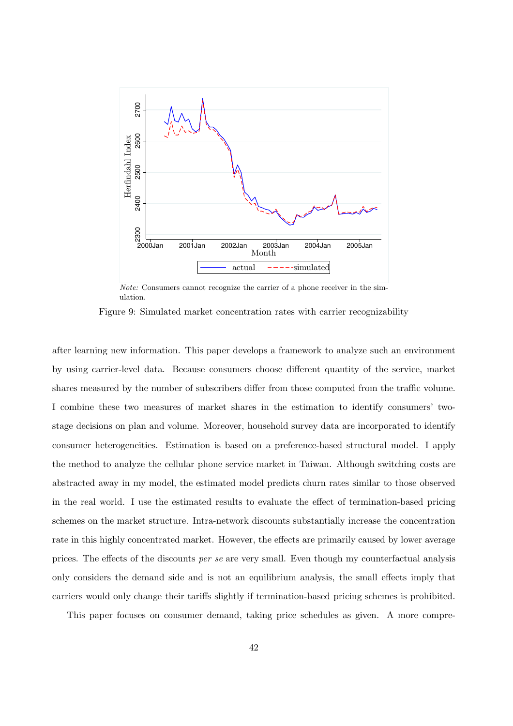

Note: Consumers cannot recognize the carrier of a phone receiver in the simulation.

Figure 9: Simulated market concentration rates with carrier recognizability

after learning new information. This paper develops a framework to analyze such an environment by using carrier-level data. Because consumers choose different quantity of the service, market shares measured by the number of subscribers differ from those computed from the traffic volume. I combine these two measures of market shares in the estimation to identify consumers' twostage decisions on plan and volume. Moreover, household survey data are incorporated to identify consumer heterogeneities. Estimation is based on a preference-based structural model. I apply the method to analyze the cellular phone service market in Taiwan. Although switching costs are abstracted away in my model, the estimated model predicts churn rates similar to those observed in the real world. I use the estimated results to evaluate the effect of termination-based pricing schemes on the market structure. Intra-network discounts substantially increase the concentration rate in this highly concentrated market. However, the effects are primarily caused by lower average prices. The effects of the discounts per se are very small. Even though my counterfactual analysis only considers the demand side and is not an equilibrium analysis, the small effects imply that carriers would only change their tariffs slightly if termination-based pricing schemes is prohibited.

This paper focuses on consumer demand, taking price schedules as given. A more compre-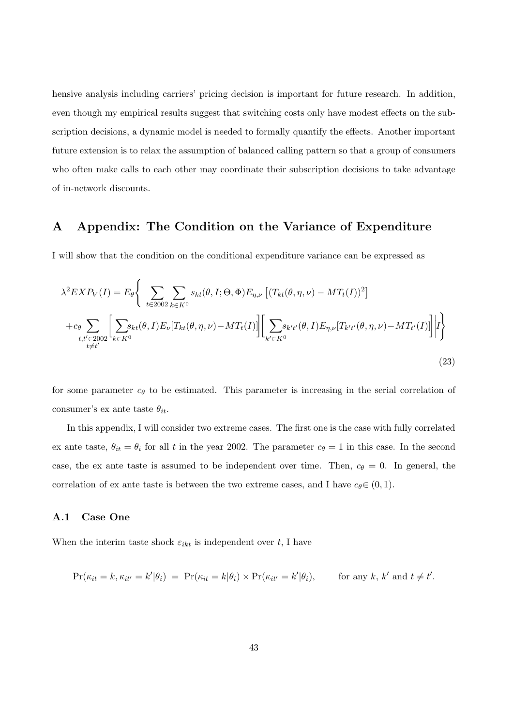hensive analysis including carriers' pricing decision is important for future research. In addition, even though my empirical results suggest that switching costs only have modest effects on the subscription decisions, a dynamic model is needed to formally quantify the effects. Another important future extension is to relax the assumption of balanced calling pattern so that a group of consumers who often make calls to each other may coordinate their subscription decisions to take advantage of in-network discounts.

# A Appendix: The Condition on the Variance of Expenditure

I will show that the condition on the conditional expenditure variance can be expressed as

$$
\lambda^{2} EXP_{V}(I) = E_{\theta} \Bigg\{ \sum_{t \in 2002} \sum_{k \in K^{0}} s_{kt}(\theta, I; \Theta, \Phi) E_{\eta, \nu} \left[ (T_{kt}(\theta, \eta, \nu) - MT_{t}(I))^{2} \right] + c_{\theta} \sum_{t, t' \in 2002} \Bigg[ \sum_{k \in K^{0}} s_{kt}(\theta, I) E_{\nu} [T_{kt}(\theta, \eta, \nu) - MT_{t}(I)] \Bigg] \Bigg[ \sum_{k' \in K^{0}} s_{k't'}(\theta, I) E_{\eta, \nu} [T_{k't'}(\theta, \eta, \nu) - MT_{t'}(I)] \Bigg] \Bigg| I \Bigg\}
$$
(23)

for some parameter  $c_{\theta}$  to be estimated. This parameter is increasing in the serial correlation of consumer's ex ante taste  $\theta_{it}$ .

In this appendix, I will consider two extreme cases. The first one is the case with fully correlated ex ante taste,  $\theta_{it} = \theta_i$  for all t in the year 2002. The parameter  $c_{\theta} = 1$  in this case. In the second case, the ex ante taste is assumed to be independent over time. Then,  $c_{\theta} = 0$ . In general, the correlation of ex ante taste is between the two extreme cases, and I have  $c_{\theta} \in (0, 1)$ .

## A.1 Case One

When the interim taste shock  $\varepsilon_{ikt}$  is independent over t, I have

$$
\Pr(\kappa_{it} = k, \kappa_{it'} = k' | \theta_i) = \Pr(\kappa_{it} = k | \theta_i) \times \Pr(\kappa_{it'} = k' | \theta_i), \quad \text{for any } k, k' \text{ and } t \neq t'.
$$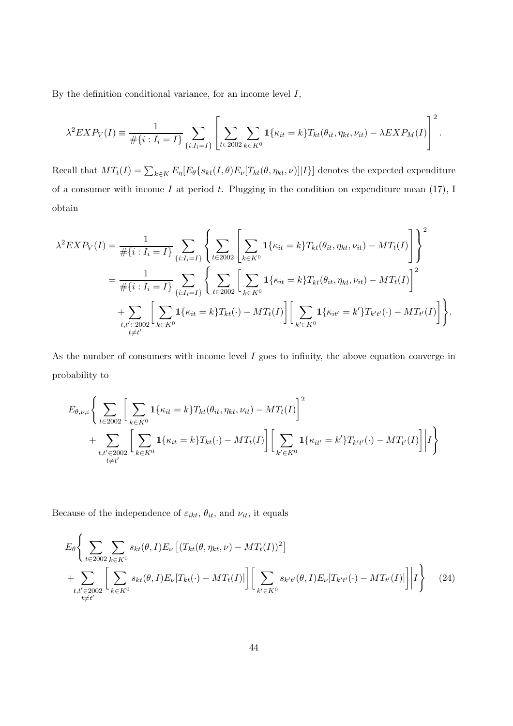By the definition conditional variance, for an income level  $I$ ,

$$
\lambda^2 EXP_V(I) \equiv \frac{1}{\#\{i : I_i = I\}} \sum_{\{i : I_i = I\}} \left[ \sum_{t \in 2002} \sum_{k \in K^0} \mathbf{1}_{\{\kappa_{it} = k\}} T_{kt}(\theta_{it}, \eta_{kt}, \nu_{it}) - \lambda EXP_M(I) \right]^2.
$$

Recall that  $MT_t(I) = \sum_{k \in K} E_\eta[E_\theta\{s_{kt}(I, \theta)E_\nu[T_{kt}(\theta, \eta_{kt}, \nu)]|I\}]$  denotes the expected expenditure of a consumer with income  $I$  at period  $t$ . Plugging in the condition on expenditure mean (17), I obtain

$$
\lambda^{2} EXP_{V}(I) = \frac{1}{\#\{i : I_{i} = I\}} \sum_{\{i: I_{i} = I\}} \left\{ \sum_{t \in 2002} \left[ \sum_{k \in K^{0}} \mathbf{1}_{\{\kappa_{it} = k\}} T_{kt}(\theta_{it}, \eta_{kt}, \nu_{it}) - MT_{t}(I) \right] \right\}^{2}
$$
  

$$
= \frac{1}{\#\{i : I_{i} = I\}} \sum_{\{i: I_{i} = I\}} \left\{ \sum_{t \in 2002} \left[ \sum_{k \in K^{0}} \mathbf{1}_{\{\kappa_{it} = k\}} T_{kt}(\theta_{it}, \eta_{kt}, \nu_{it}) - MT_{t}(I) \right]^{2}
$$
  

$$
+ \sum_{t, t' \in 2002} \left[ \sum_{k \in K^{0}} \mathbf{1}_{\{\kappa_{it} = k\}} T_{kt}(\cdot) - MT_{t}(I) \right] \left[ \sum_{k' \in K^{0}} \mathbf{1}_{\{\kappa_{it'} = k'\}} T_{k't}(\cdot) - MT_{t'}(I) \right] \right\}.
$$

As the number of consumers with income level I goes to infinity, the above equation converge in probability to

$$
E_{\theta,\nu,\varepsilon} \Bigg\{ \sum_{t \in 2002} \Bigg[ \sum_{k \in K^0} \mathbf{1}_{\{\kappa_{it} = k\}} T_{kt}(\theta_{it}, \eta_{kt}, \nu_{it}) - MT_t(I) \Bigg]^2 + \sum_{\substack{t, t' \in 2002}} \Bigg[ \sum_{k \in K^0} \mathbf{1}_{\{\kappa_{it} = k\}} T_{kt}(\cdot) - MT_t(I) \Bigg] \Bigg[ \sum_{k' \in K^0} \mathbf{1}_{\{\kappa_{it'} = k'\}} T_{k't'}(\cdot) - MT_{t'}(I) \Bigg] \Bigg| I \Bigg\}
$$

Because of the independence of  $\varepsilon_{ikt}$ ,  $\theta_{it}$ , and  $\nu_{it}$ , it equals

$$
E_{\theta}\Biggl\{\sum_{t\in2002}\sum_{k\in K^{0}}s_{kt}(\theta,I)E_{\nu}\left[(T_{kt}(\theta,\eta_{kt},\nu)-MT_{t}(I))^{2}\right] + \sum_{\substack{t,t'\in2002\\t\neq t'}}\Biggl[\sum_{k\in K^{0}}s_{kt}(\theta,I)E_{\nu}[T_{kt}(\cdot)-MT_{t}(I)]\Biggr]\Biggl[\sum_{k'\in K^{0}}s_{k't'}(\theta,I)E_{\nu}[T_{k't'}(\cdot)-MT_{t'}(I)]\Biggr]\Biggl|I\Biggr\}\qquad(24)
$$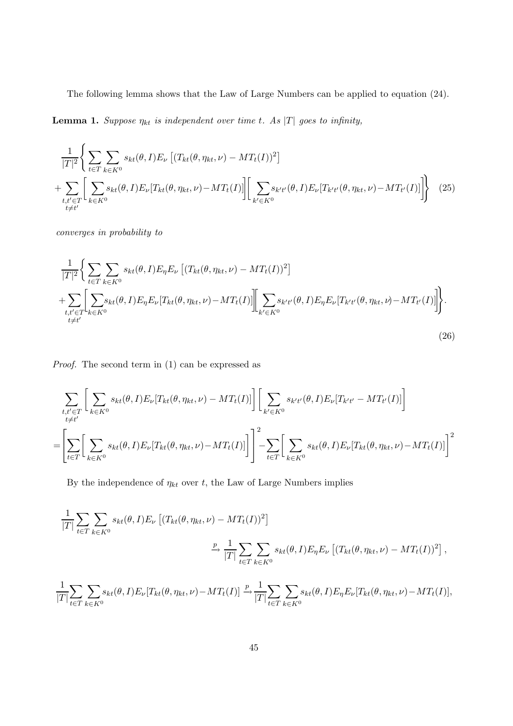The following lemma shows that the Law of Large Numbers can be applied to equation (24).

**Lemma 1.** Suppose  $\eta_{kt}$  is independent over time t. As |T| goes to infinity,

$$
\frac{1}{|T|^2} \Bigg\{ \sum_{t \in T} \sum_{k \in K^0} s_{kt}(\theta, I) E_{\nu} \left[ (T_{kt}(\theta, \eta_{kt}, \nu) - MT_t(I))^2 \right] + \sum_{\substack{t, t' \in T \\ t \neq t'}} \left[ \sum_{k \in K^0} s_{kt}(\theta, I) E_{\nu} [T_{kt}(\theta, \eta_{kt}, \nu) - MT_t(I)] \right] \Bigg[ \sum_{k' \in K^0} s_{k't'}(\theta, I) E_{\nu} [T_{k't'}(\theta, \eta_{kt}, \nu) - MT_{t'}(I)] \Bigg\} \tag{25}
$$

converges in probability to

$$
\frac{1}{|T|^2} \Big\{ \sum_{t \in T} \sum_{k \in K^0} s_{kt}(\theta, I) E_{\eta} E_{\nu} \left[ (T_{kt}(\theta, \eta_{kt}, \nu) - MT_t(I))^2 \right] \n+ \sum_{t, t' \in T} \Biggl[ \sum_{k \in K^0} s_{kt}(\theta, I) E_{\eta} E_{\nu} [T_{kt}(\theta, \eta_{kt}, \nu) - MT_t(I)] \Biggr] \Biggl[ \sum_{k' \in K^0} s_{k't'}(\theta, I) E_{\eta} E_{\nu} [T_{k't'}(\theta, \eta_{kt}, \nu) - MT_{t'}(I)] \Biggr] \Biggr\}.
$$
\n(26)

Proof. The second term in (1) can be expressed as

$$
\sum_{\substack{t,t'\in T\\t\neq t'}}\bigg[\sum_{k\in K^0}s_{kt}(\theta,I)E_{\nu}[T_{kt}(\theta,\eta_{kt},\nu)-MT_t(I)]\bigg]\bigg[\sum_{k'\in K^0}s_{k't'}(\theta,I)E_{\nu}[T_{k't'}-MT_{t'}(I)]\bigg]
$$
\n
$$
=\bigg[\sum_{t\in T}\bigg[\sum_{k\in K^0}s_{kt}(\theta,I)E_{\nu}[T_{kt}(\theta,\eta_{kt},\nu)-MT_t(I)]\bigg]^2-\sum_{t\in T}\bigg[\sum_{k\in K^0}s_{kt}(\theta,I)E_{\nu}[T_{kt}(\theta,\eta_{kt},\nu)-MT_t(I)]\bigg]^2
$$

By the independence of  $\eta_{kt}$  over t, the Law of Large Numbers implies

$$
\frac{1}{|T|} \sum_{t \in T} \sum_{k \in K^0} s_{kt}(\theta, I) E_{\nu} \left[ (T_{kt}(\theta, \eta_{kt}, \nu) - MT_t(I))^2 \right]
$$
\n
$$
\xrightarrow{p} \frac{1}{|T|} \sum_{t \in T} \sum_{k \in K^0} s_{kt}(\theta, I) E_{\eta} E_{\nu} \left[ (T_{kt}(\theta, \eta_{kt}, \nu) - MT_t(I))^2 \right],
$$
\n
$$
\xrightarrow{1} \sum_{t \in T} \sum_{k \in K^0} (A_{t} I) E_{t} [T_{t}(\theta, \eta_{kt}, \nu) - MT_t(I)]^2
$$

$$
\frac{1}{|T|} \sum_{t \in T} \sum_{k \in K^0} s_{kt}(\theta, I) E_{\nu} [T_{kt}(\theta, \eta_{kt}, \nu) - MT_t(I)] \xrightarrow{p} \frac{1}{|T|} \sum_{t \in T} \sum_{k \in K^0} s_{kt}(\theta, I) E_{\eta} E_{\nu} [T_{kt}(\theta, \eta_{kt}, \nu) - MT_t(I)],
$$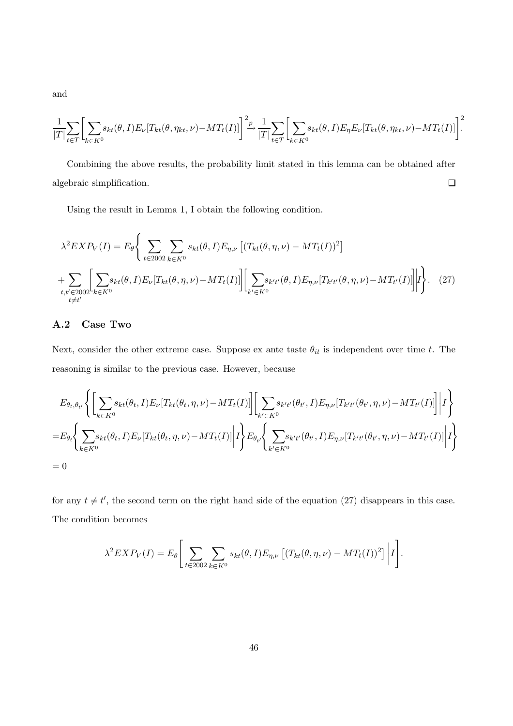and

$$
\frac{1}{|T|} \sum_{t \in T} \biggl[ \sum_{k \in K^0} s_{kt}(\theta, I) E_{\nu} [T_{kt}(\theta, \eta_{kt}, \nu) - MT_t(I)] \biggr]^2 \xrightarrow{p} \frac{1}{|T|} \sum_{t \in T} \biggl[ \sum_{k \in K^0} s_{kt}(\theta, I) E_{\eta} E_{\nu} [T_{kt}(\theta, \eta_{kt}, \nu) - MT_t(I)] \biggr]^2
$$

Combining the above results, the probability limit stated in this lemma can be obtained after  $\Box$ algebraic simplification.

Using the result in Lemma 1, I obtain the following condition.

$$
\lambda^2 EXP_V(I) = E_{\theta} \Bigg\{ \sum_{t \in 2002} \sum_{k \in K^0} s_{kt}(\theta, I) E_{\eta, \nu} \left[ (T_{kt}(\theta, \eta, \nu) - MT_t(I))^2 \right] + \sum_{t, t' \in 2002} \Bigg[ \sum_{k \in K^0} s_{kt}(\theta, I) E_{\nu} \left[ T_{kt}(\theta, \eta, \nu) - MT_t(I) \right] \Bigg| \Bigg[ \sum_{k' \in K^0} s_{k't'}(\theta, I) E_{\eta, \nu} \left[ T_{k't'}(\theta, \eta, \nu) - MT_{t'}(I) \right] \Bigg| I \Bigg\}.
$$
 (27)

## A.2 Case Two

Next, consider the other extreme case. Suppose ex ante taste  $\theta_{it}$  is independent over time t. The reasoning is similar to the previous case. However, because

$$
E_{\theta_t, \theta_{t'}} \Biggl\{ \Biggl[ \sum_{k \in K^0} s_{kt}(\theta_t, I) E_{\nu} [T_{kt}(\theta_t, \eta, \nu) - MT_t(I)] \Biggr] \Biggl[ \sum_{k' \in K^0} s_{k't'}(\theta_{t'}, I) E_{\eta, \nu} [T_{k't'}(\theta_{t'}, \eta, \nu) - MT_{t'}(I)] \Biggr] \Biggl| I \Biggr\}
$$
  
= 
$$
E_{\theta_t} \Biggl\{ \sum_{k \in K^0} s_{kt}(\theta_t, I) E_{\nu} [T_{kt}(\theta_t, \eta, \nu) - MT_t(I)] \Biggr| I \Biggr\} E_{\theta_{t'}} \Biggl\{ \sum_{k' \in K^0} s_{k't'}(\theta_{t'}, I) E_{\eta, \nu} [T_{k't'}(\theta_{t'}, \eta, \nu) - MT_{t'}(I)] \Biggr| I \Biggr\}
$$
  
= 0

for any  $t \neq t'$ , the second term on the right hand side of the equation (27) disappears in this case. The condition becomes

$$
\lambda^2 EXP_V(I) = E_{\theta} \Bigg[ \sum_{t \in 2002} \sum_{k \in K^0} s_{kt}(\theta, I) E_{\eta, \nu} \left[ (T_{kt}(\theta, \eta, \nu) - MT_t(I))^2 \right] \Big| I \Bigg].
$$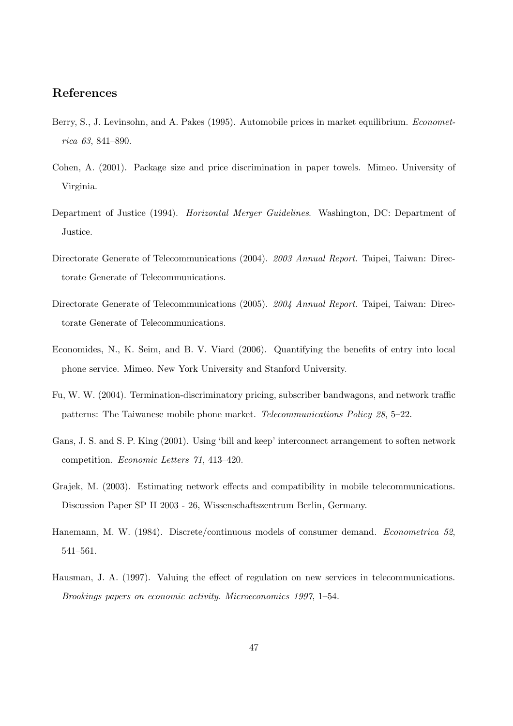# References

- Berry, S., J. Levinsohn, and A. Pakes (1995). Automobile prices in market equilibrium. Econometrica 63, 841–890.
- Cohen, A. (2001). Package size and price discrimination in paper towels. Mimeo. University of Virginia.
- Department of Justice (1994). Horizontal Merger Guidelines. Washington, DC: Department of Justice.
- Directorate Generate of Telecommunications (2004). 2003 Annual Report. Taipei, Taiwan: Directorate Generate of Telecommunications.
- Directorate Generate of Telecommunications (2005). 2004 Annual Report. Taipei, Taiwan: Directorate Generate of Telecommunications.
- Economides, N., K. Seim, and B. V. Viard (2006). Quantifying the benefits of entry into local phone service. Mimeo. New York University and Stanford University.
- Fu, W. W. (2004). Termination-discriminatory pricing, subscriber bandwagons, and network traffic patterns: The Taiwanese mobile phone market. Telecommunications Policy 28, 5–22.
- Gans, J. S. and S. P. King (2001). Using 'bill and keep' interconnect arrangement to soften network competition. Economic Letters 71, 413–420.
- Grajek, M. (2003). Estimating network effects and compatibility in mobile telecommunications. Discussion Paper SP II 2003 - 26, Wissenschaftszentrum Berlin, Germany.
- Hanemann, M. W. (1984). Discrete/continuous models of consumer demand. Econometrica 52, 541–561.
- Hausman, J. A. (1997). Valuing the effect of regulation on new services in telecommunications. Brookings papers on economic activity. Microeconomics 1997, 1–54.